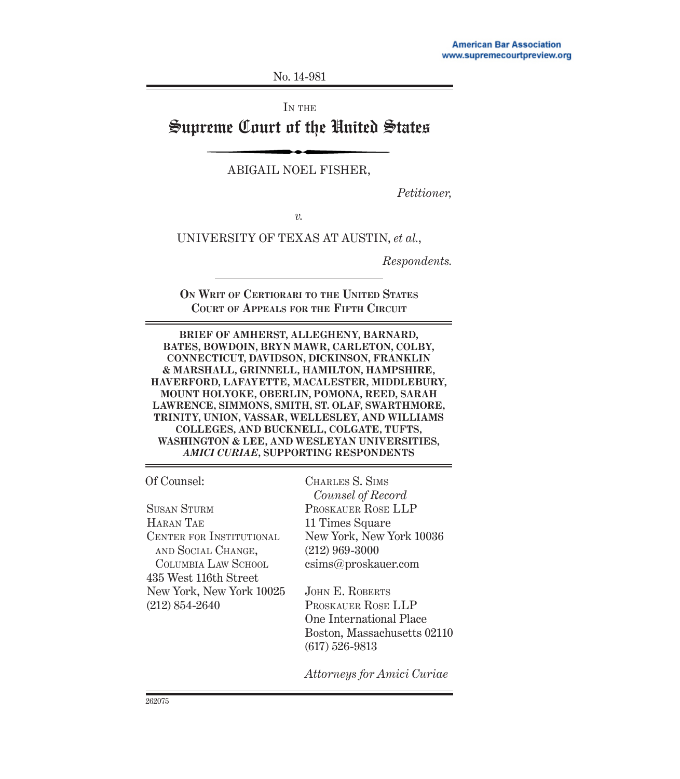No. 14-981

IN THE

# Supreme Court of the United States

ABIGAIL NOEL FISHER,

*Petitioner,*

*v.*

UNIVERSITY OF TEXAS AT AUSTIN, *et al.*,

*Respondents.*

**ON WRIT OF CERTIORARI TO THE UNITED STATES COURT OF APPEALS FOR THE FIFTH CIRCUIT**

**BRIEF OF AMHERST, ALLEGHENY, BARNARD, BATES, BOWDOIN, BRYN MAWR, CARLETON, COLBY, CONNECTICUT, DAVIDSON, DICKINSON, FRANKLIN & MARSHALL, GRINNELL, HAMILTON, HAMPSHIRE, HAVERFORD, LAFAYETTE, MACALESTER, MIDDLEBURY, MOUNT HOLYOKE, OBERLIN, POMONA, REED, SARAH LAWRENCE, SIMMONS, SMITH, ST. OLAF, SWARTHMORE, TRINITY, UNION, VASSAR, WELLESLEY, AND WILLIAMS COLLEGES, AND BUCKNELL, COLGATE, TUFTS, WASHINGTON & LEE, AND WESLEYAN UNIVERSITIES,**  *AMICI CURIAE***, SUPPORTING RESPONDENTS**

Of Counsel:

SUSAN STURM HARAN TAE CENTER FOR INSTITUTIONAL AND SOCIAL CHANGE, COLUMBIA LAW SCHOOL 435 West 116th Street New York, New York 10025 (212) 854-2640

CHARLES S. SIMS *Counsel of Record* PROSKAUER ROSE LLP 11 Times Square New York, New York 10036 (212) 969-3000 csims@proskauer.com

JOHN E. ROBERTS PROSKAUER ROSE LLP One International Place Boston, Massachusetts 02110 (617) 526-9813

*Attorneys for Amici Curiae*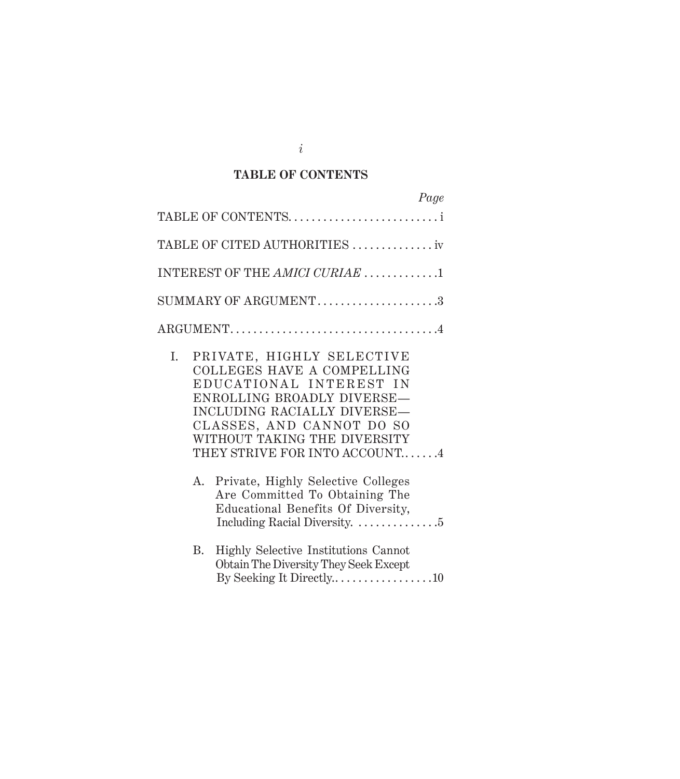## **TABLE OF CONTENTS**

|    | Page                                                                                                                                                                                                                                          |
|----|-----------------------------------------------------------------------------------------------------------------------------------------------------------------------------------------------------------------------------------------------|
|    | TABLE OF CONTENTS                                                                                                                                                                                                                             |
|    | TABLE OF CITED AUTHORITIES  iv                                                                                                                                                                                                                |
|    | INTEREST OF THE AMICI CURIAE 1                                                                                                                                                                                                                |
|    | SUMMARY OF ARGUMENT3                                                                                                                                                                                                                          |
|    |                                                                                                                                                                                                                                               |
| I. | PRIVATE, HIGHLY SELECTIVE<br>COLLEGES HAVE A COMPELLING<br>EDUCATIONAL INTEREST IN<br>ENROLLING BROADLY DIVERSE-<br>INCLUDING RACIALLY DIVERSE-<br>CLASSES, AND CANNOT DO SO<br>WITHOUT TAKING THE DIVERSITY<br>THEY STRIVE FOR INTO ACCOUNT4 |
|    | Private, Highly Selective Colleges<br>А.<br>Are Committed To Obtaining The<br>Educational Benefits Of Diversity,                                                                                                                              |
| В. | Highly Selective Institutions Cannot<br>Obtain The Diversity They Seek Except<br>By Seeking It Directly10                                                                                                                                     |

*i*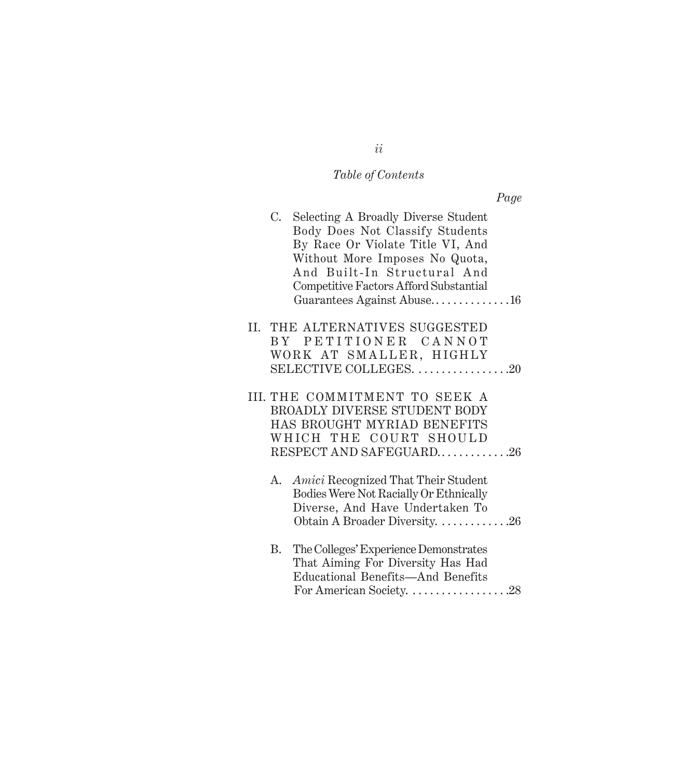# *Table of Contents*

*Page*

| C. | Selecting A Broadly Diverse Student<br>Body Does Not Classify Students<br>By Race Or Violate Title VI, And<br>Without More Imposes No Quota,<br>And Built-In Structural And<br>Competitive Factors Afford Substantial<br>Guarantees Against Abuse16 |
|----|-----------------------------------------------------------------------------------------------------------------------------------------------------------------------------------------------------------------------------------------------------|
|    | II. THE ALTERNATIVES SUGGESTED                                                                                                                                                                                                                      |
|    | BY PETITIONER CANNOT                                                                                                                                                                                                                                |
|    | WORK AT SMALLER, HIGHLY                                                                                                                                                                                                                             |
|    | SELECTIVE COLLEGES. 20                                                                                                                                                                                                                              |
|    | III. THE COMMITMENT TO SEEK A                                                                                                                                                                                                                       |
|    | BROADLY DIVERSE STUDENT BODY                                                                                                                                                                                                                        |
|    | HAS BROUGHT MYRIAD BENEFITS                                                                                                                                                                                                                         |
|    | WHICH THE COURT SHOULD                                                                                                                                                                                                                              |
|    | RESPECT AND SAFEGUARD26                                                                                                                                                                                                                             |
| А. | Amici Recognized That Their Student                                                                                                                                                                                                                 |
|    | Bodies Were Not Racially Or Ethnically                                                                                                                                                                                                              |
|    | Diverse, And Have Undertaken To                                                                                                                                                                                                                     |
|    | Obtain A Broader Diversity. 26                                                                                                                                                                                                                      |
| В. | The Colleges' Experience Demonstrates                                                                                                                                                                                                               |
|    | That Aiming For Diversity Has Had                                                                                                                                                                                                                   |
|    | Educational Benefits-And Benefits                                                                                                                                                                                                                   |

For American Society. . . . . . . . . . . . . . . . . .28

*ii*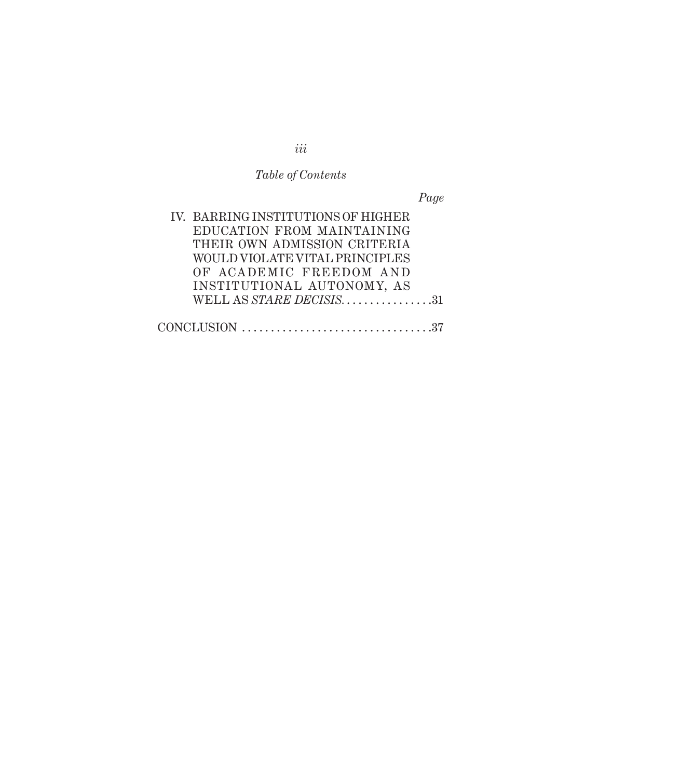# *Table of Contents*

*Page*

| IV. BARRING INSTITUTIONS OF HIGHER |  |
|------------------------------------|--|
|                                    |  |
| EDUCATION FROM MAINTAINING         |  |
| THEIR OWN ADMISSION CRITERIA       |  |
| WOULD VIOLATE VITAL PRINCIPLES     |  |
| OF ACADEMIC FREEDOM AND            |  |
| INSTITUTIONAL AUTONOMY, AS         |  |
| WELL AS STARE DECISIS31            |  |
|                                    |  |
|                                    |  |

*iii*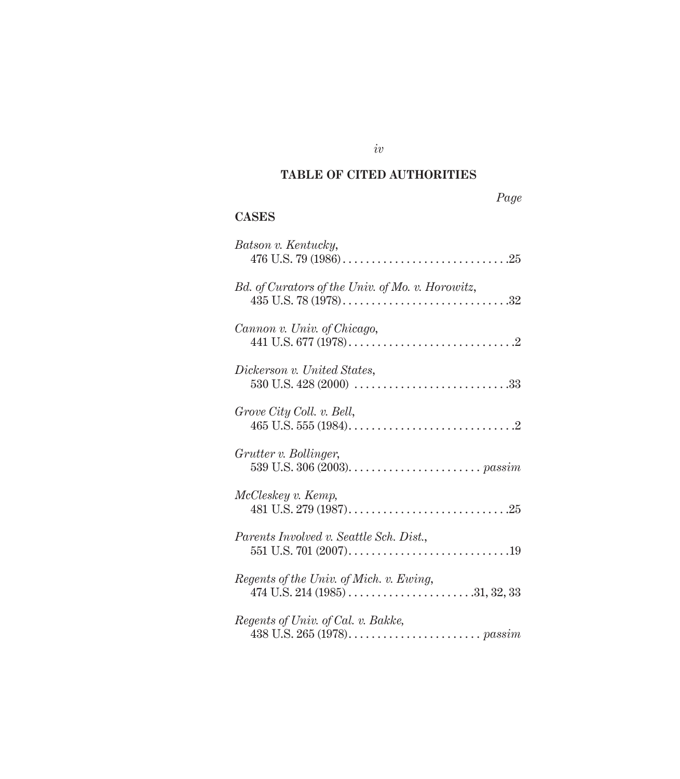## **TABLE OF CITED AUTHORITIES**

## *Page*

## **CASES**

| Batson v. Kentucky,                              |
|--------------------------------------------------|
| Bd. of Curators of the Univ. of Mo. v. Horowitz, |
| Cannon v. Univ. of Chicago,                      |
| Dickerson v. United States,                      |
| Grove City Coll. v. Bell,                        |
| Grutter v. Bollinger,                            |
| McCleskey v. Kemp,                               |
| Parents Involved v. Seattle Sch. Dist.,          |
| Regents of the Univ. of Mich. v. Ewing,          |
| Regents of Univ. of Cal. v. Bakke,               |

*iv*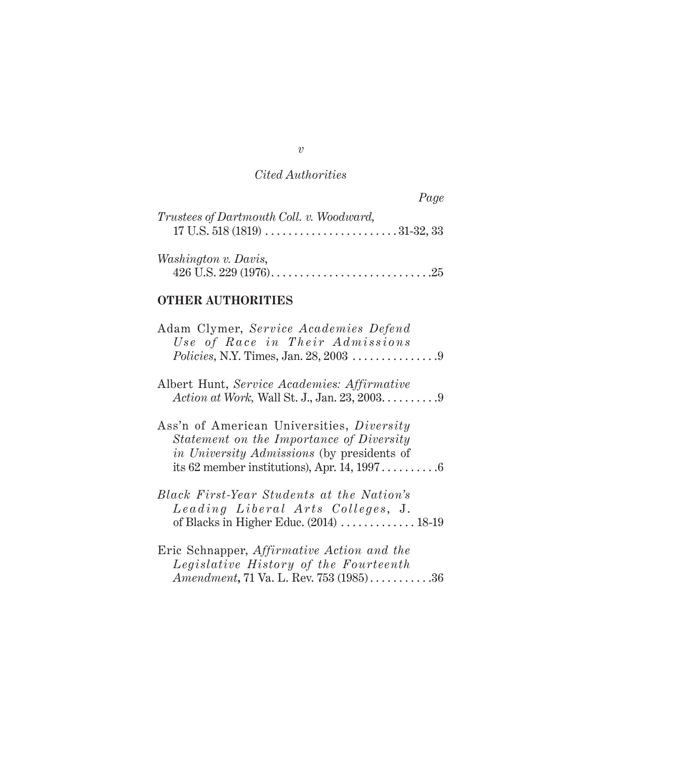## *Cited Authorities*

|                                          | Page |
|------------------------------------------|------|
| Trustees of Dartmouth Coll. v. Woodward, |      |
|                                          |      |
| <i>Washington v. Davis,</i>              |      |
|                                          |      |

### **OTHER AUTHORITIES**

| Adam Clymer, Service Academies Defend<br>Use of Race in Their Admissions                                                                                                                     |
|----------------------------------------------------------------------------------------------------------------------------------------------------------------------------------------------|
| Albert Hunt, Service Academies: Affirmative<br>Action at Work, Wall St. J., Jan. 23, 2003. 9                                                                                                 |
| Ass'n of American Universities, Diversity<br>Statement on the Importance of Diversity<br>in University Admissions (by presidents of<br>its 62 member institutions), Apr. 14, $1997 \ldots 6$ |
| Black First-Year Students at the Nation's<br>Leading Liberal Arts Colleges, J.                                                                                                               |
| Eric Schnapper, <i>Affirmative Action and the</i><br>Legislative History of the Fourteenth<br><i>Amendment</i> , 71 Va. L. Rev. 753 (1985)36                                                 |

*v*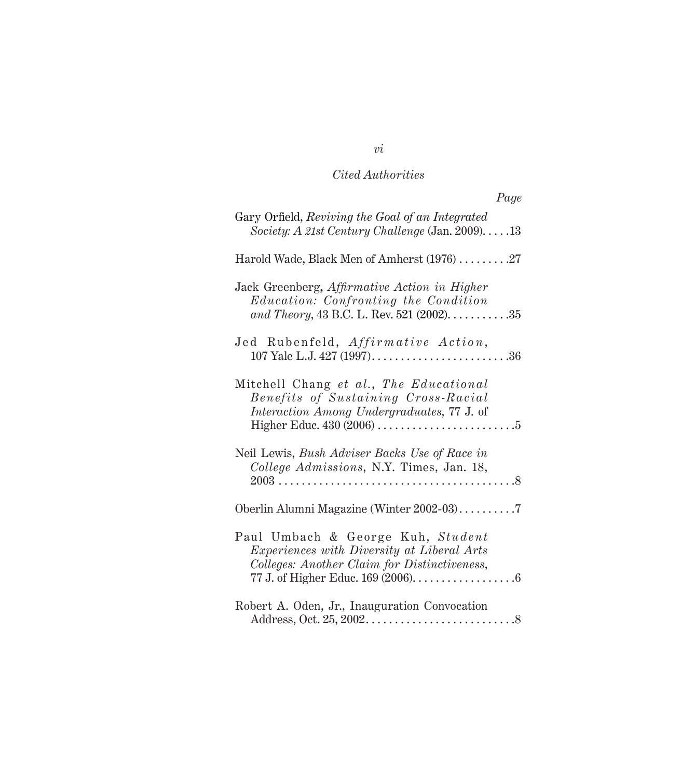## *Cited Authorities*

| Page                                                                                                                                                                                                       |
|------------------------------------------------------------------------------------------------------------------------------------------------------------------------------------------------------------|
| Gary Orfield, Reviving the Goal of an Integrated<br>Society: A 21st Century Challenge (Jan. 2009)13                                                                                                        |
| Harold Wade, Black Men of Amherst $(1976)$ 27                                                                                                                                                              |
| Jack Greenberg, Affirmative Action in Higher<br>Education: Confronting the Condition<br>and Theory, 43 B.C. L. Rev. 521 (2002). $\dots \dots \dots 35$                                                     |
| Jed Rubenfeld, Affirmative Action,<br>107 Yale L.J. 427 $(1997)$ 36                                                                                                                                        |
| Mitchell Chang et al., The Educational<br>Benefits of Sustaining Cross-Racial<br><i>Interaction Among Undergraduates, 77 J. of</i>                                                                         |
| Neil Lewis, Bush Adviser Backs Use of Race in<br>College Admissions, N.Y. Times, Jan. 18,                                                                                                                  |
|                                                                                                                                                                                                            |
| Paul Umbach & George Kuh, Student<br>Experiences with Diversity at Liberal Arts<br>Colleges: Another Claim for Distinctiveness,<br>77 J. of Higher Educ. 169 (2006). $\dots \dots \dots \dots \dots \dots$ |
| Robert A. Oden, Jr., Inauguration Convocation                                                                                                                                                              |

## *vi*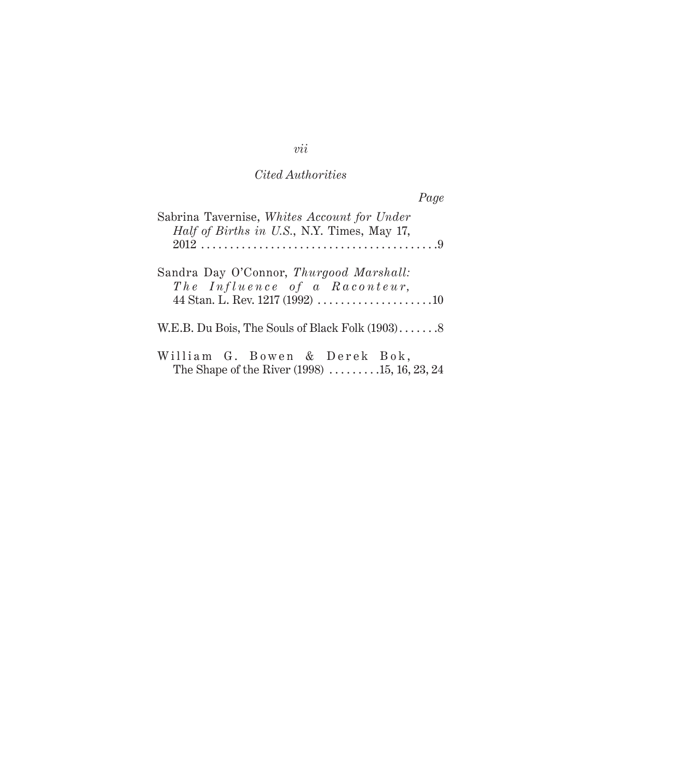## *Cited Authorities*

|                                                                                                    | Page |
|----------------------------------------------------------------------------------------------------|------|
| Sabrina Tavernise, Whites Account for Under<br><i>Half of Births in U.S.</i> , N.Y. Times, May 17, |      |
| Sandra Day O'Connor, Thurgood Marshall:<br>The Influence of a Raconteur,                           |      |
|                                                                                                    |      |
| William G. Bowen & Derek Bok,<br>The Shape of the River $(1998)$ 15, 16, 23, 24                    |      |

## *vii*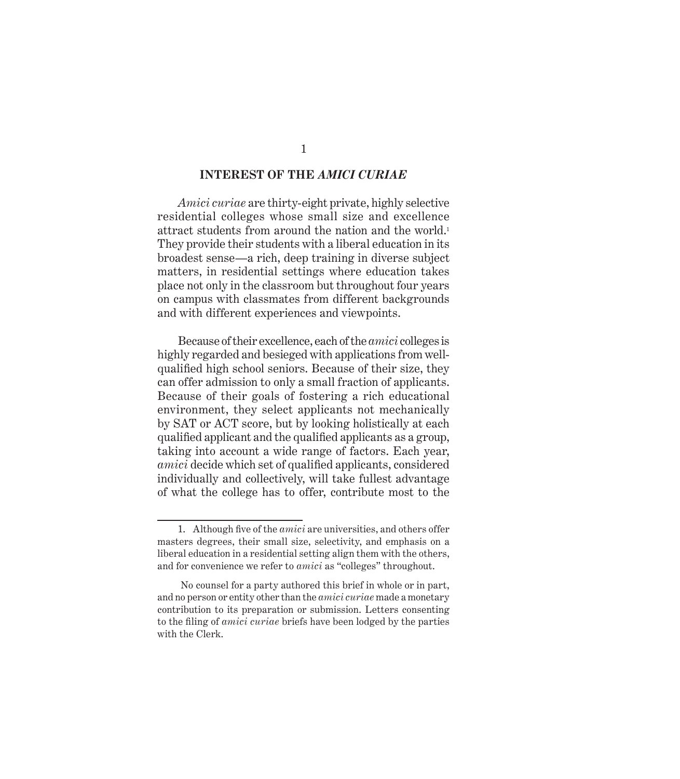#### **INTEREST OF THE** *AMICI CURIAE*

*Amici curiae* are thirty-eight private, highly selective residential colleges whose small size and excellence attract students from around the nation and the world.<sup>1</sup> They provide their students with a liberal education in its broadest sense—a rich, deep training in diverse subject matters, in residential settings where education takes place not only in the classroom but throughout four years on campus with classmates from different backgrounds and with different experiences and viewpoints.

Because of their excellence, each of the *amici* colleges is highly regarded and besieged with applications from wellqualified high school seniors. Because of their size, they can offer admission to only a small fraction of applicants. Because of their goals of fostering a rich educational environment, they select applicants not mechanically by SAT or ACT score, but by looking holistically at each qualified applicant and the qualified applicants as a group, taking into account a wide range of factors. Each year, *amici* decide which set of qualified applicants, considered individually and collectively, will take fullest advantage of what the college has to offer, contribute most to the

<sup>1.</sup> Although five of the *amici* are universities, and others offer masters degrees, their small size, selectivity, and emphasis on a liberal education in a residential setting align them with the others, and for convenience we refer to *amici* as "colleges" throughout.

No counsel for a party authored this brief in whole or in part, and no person or entity other than the *amici curiae* made a monetary contribution to its preparation or submission. Letters consenting to the filing of *amici curiae* briefs have been lodged by the parties with the Clerk.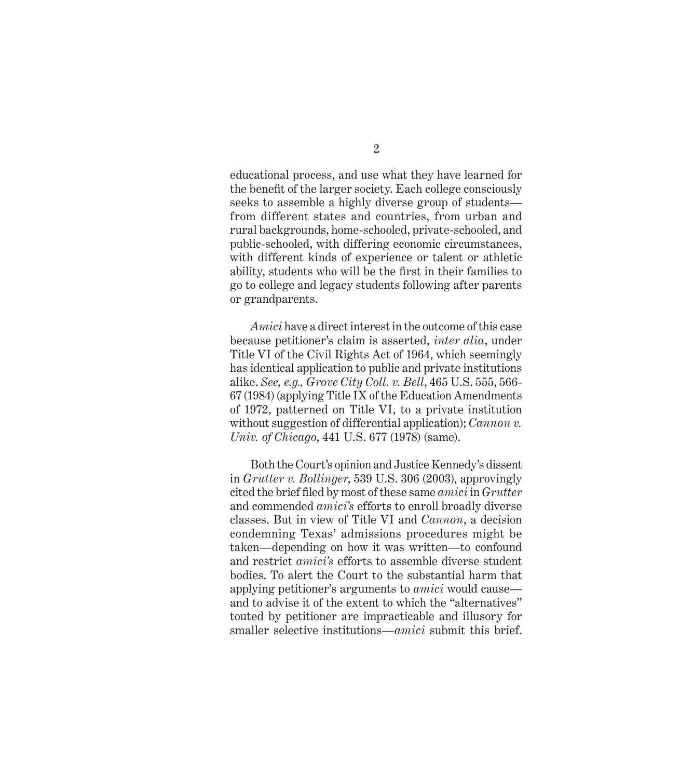educational process, and use what they have learned for the benefit of the larger society. Each college consciously seeks to assemble a highly diverse group of students from different states and countries, from urban and rural backgrounds, home-schooled, private-schooled, and public-schooled, with differing economic circumstances, with different kinds of experience or talent or athletic ability, students who will be the first in their families to go to college and legacy students following after parents or grandparents.

*Amici* have a direct interest in the outcome of this case because petitioner's claim is asserted, *inter alia*, under Title VI of the Civil Rights Act of 1964, which seemingly has identical application to public and private institutions alike. *See, e.g., Grove City Coll. v. Bell*, 465 U.S. 555, 566- 67 (1984) (applying Title IX of the Education Amendments of 1972, patterned on Title VI, to a private institution without suggestion of differential application); *Cannon v. Univ. of Chicago*, 441 U.S. 677 (1978) (same).

Both the Court's opinion and Justice Kennedy's dissent in *Grutter v. Bollinger*, 539 U.S. 306 (2003), approvingly cited the brief fi led by most of these same *amici* in *Grutter*  and commended *amici's* efforts to enroll broadly diverse classes. But in view of Title VI and *Cannon*, a decision condemning Texas' admissions procedures might be taken—depending on how it was written—to confound and restrict *amici's* efforts to assemble diverse student bodies. To alert the Court to the substantial harm that applying petitioner's arguments to *amici* would cause and to advise it of the extent to which the "alternatives" touted by petitioner are impracticable and illusory for smaller selective institutions—*amici* submit this brief.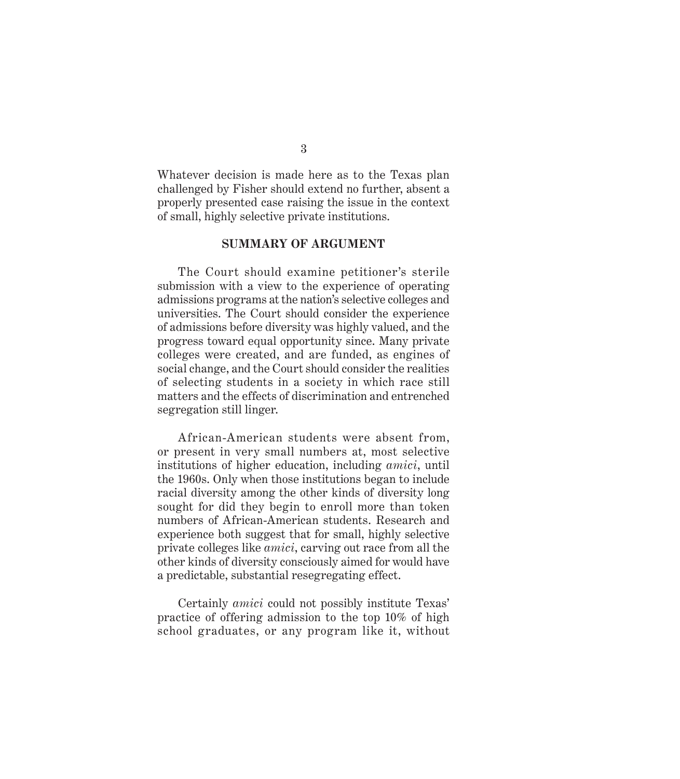Whatever decision is made here as to the Texas plan challenged by Fisher should extend no further, absent a properly presented case raising the issue in the context of small, highly selective private institutions.

#### **SUMMARY OF ARGUMENT**

The Court should examine petitioner's sterile submission with a view to the experience of operating admissions programs at the nation's selective colleges and universities. The Court should consider the experience of admissions before diversity was highly valued, and the progress toward equal opportunity since. Many private colleges were created, and are funded, as engines of social change, and the Court should consider the realities of selecting students in a society in which race still matters and the effects of discrimination and entrenched segregation still linger.

African-American students were absent from, or present in very small numbers at, most selective institutions of higher education, including *amici*, until the 1960s. Only when those institutions began to include racial diversity among the other kinds of diversity long sought for did they begin to enroll more than token numbers of African-American students. Research and experience both suggest that for small, highly selective private colleges like *amici*, carving out race from all the other kinds of diversity consciously aimed for would have a predictable, substantial resegregating effect.

Certainly *amici* could not possibly institute Texas' practice of offering admission to the top 10% of high school graduates, or any program like it, without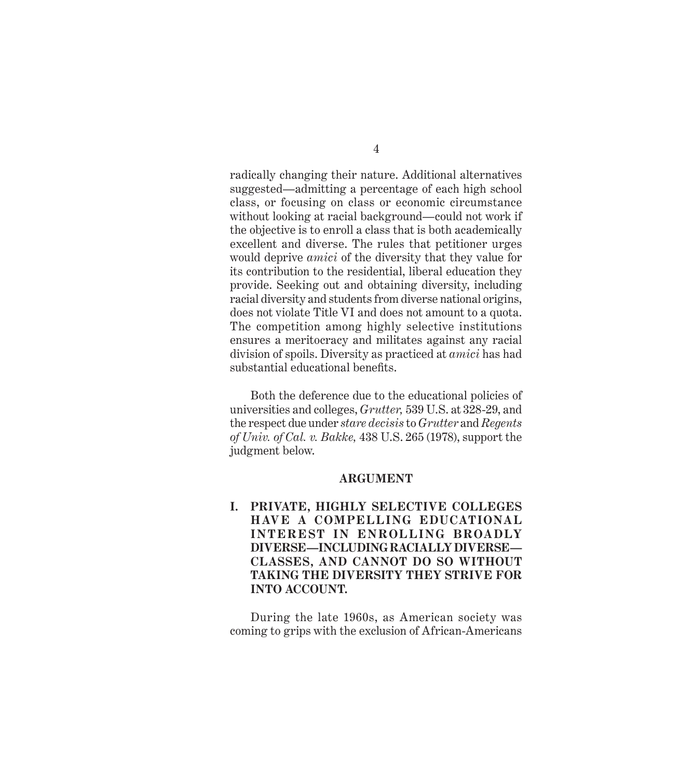radically changing their nature. Additional alternatives suggested—admitting a percentage of each high school class, or focusing on class or economic circumstance without looking at racial background—could not work if the objective is to enroll a class that is both academically excellent and diverse. The rules that petitioner urges would deprive *amici* of the diversity that they value for its contribution to the residential, liberal education they provide. Seeking out and obtaining diversity, including racial diversity and students from diverse national origins, does not violate Title VI and does not amount to a quota. The competition among highly selective institutions ensures a meritocracy and militates against any racial division of spoils. Diversity as practiced at *amici* has had substantial educational benefits.

Both the deference due to the educational policies of universities and colleges, *Grutter,* 539 U.S. at 328-29, and the respect due under *stare decisis* to *Grutter* and *Regents of Univ. of Cal. v. Bakke,* 438 U.S. 265 (1978), support the judgment below.

#### **ARGUMENT**

**I. PRIVATE, HIGHLY SELECTIVE COLLEGES HAVE A COMPELLING EDUCATIONAL INTEREST IN ENROLLING BROADLY DIVERSE—INCLUDING RACIALLY DIVERSE— CLASSES, AND CANNOT DO SO WITHOUT TAKING THE DIVERSITY THEY STRIVE FOR INTO ACCOUNT.**

During the late 1960s, as American society was coming to grips with the exclusion of African-Americans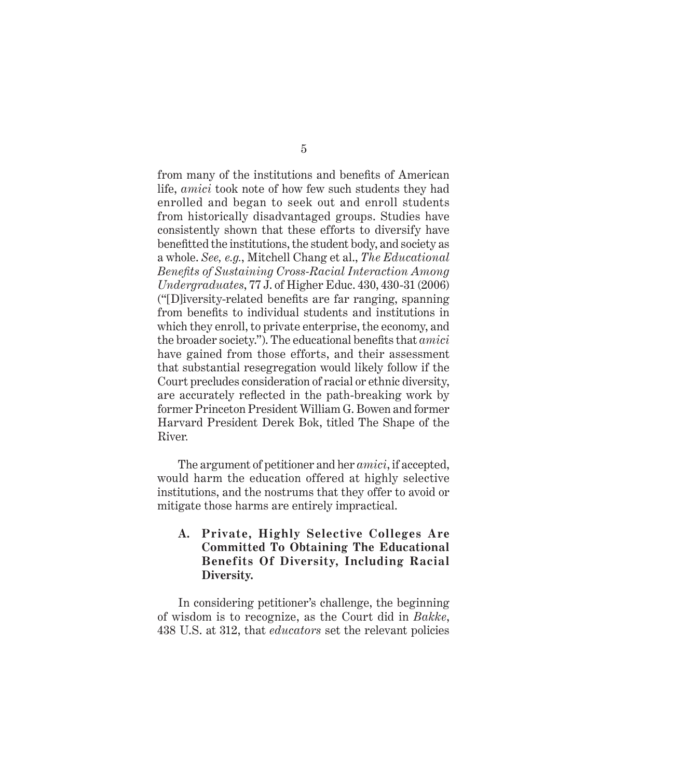from many of the institutions and benefits of American life, *amici* took note of how few such students they had enrolled and began to seek out and enroll students from historically disadvantaged groups. Studies have consistently shown that these efforts to diversify have benefitted the institutions, the student body, and society as a whole. *See, e.g.*, Mitchell Chang et al., *The Educational Benefits of Sustaining Cross-Racial Interaction Among Undergraduates*, 77 J. of Higher Educ. 430, 430-31 (2006)  $($ "[D] iversity-related benefits are far ranging, spanning from benefits to individual students and institutions in which they enroll, to private enterprise, the economy, and the broader society."). The educational benefits that *amici* have gained from those efforts, and their assessment that substantial resegregation would likely follow if the Court precludes consideration of racial or ethnic diversity, are accurately reflected in the path-breaking work by former Princeton President William G. Bowen and former Harvard President Derek Bok, titled The Shape of the River*.*

The argument of petitioner and her *amici*, if accepted, would harm the education offered at highly selective institutions, and the nostrums that they offer to avoid or mitigate those harms are entirely impractical.

#### **A. Private, Highly Selective Colleges Are Committed To Obtaining The Educational Benefits Of Diversity, Including Racial Diversity.**

In considering petitioner's challenge, the beginning of wisdom is to recognize, as the Court did in *Bakke*, 438 U.S. at 312, that *educators* set the relevant policies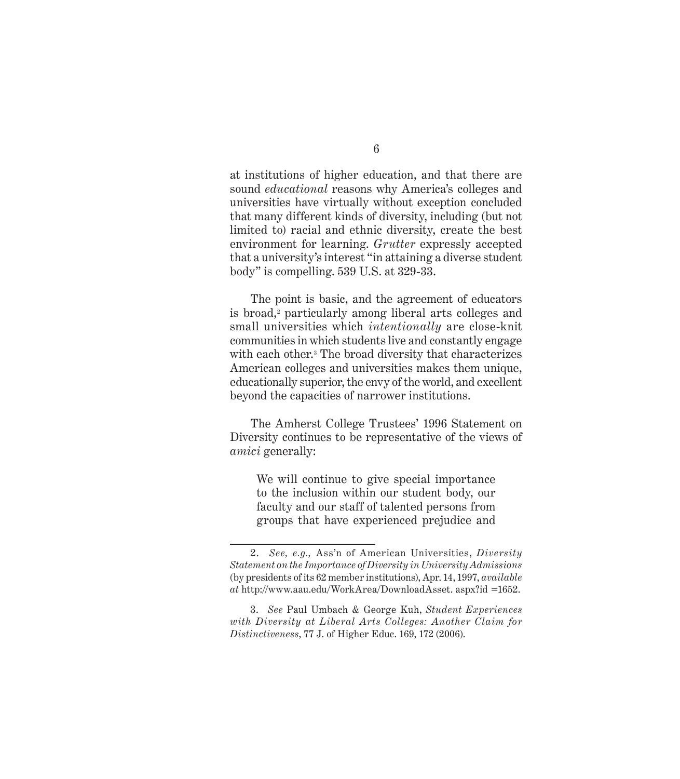at institutions of higher education, and that there are sound *educational* reasons why America's colleges and universities have virtually without exception concluded that many different kinds of diversity, including (but not limited to) racial and ethnic diversity, create the best environment for learning. *Grutter* expressly accepted that a university's interest "in attaining a diverse student body" is compelling. 539 U.S. at 329-33.

The point is basic, and the agreement of educators is broad,<sup>2</sup> particularly among liberal arts colleges and small universities which *intentionally* are close-knit communities in which students live and constantly engage with each other.<sup>3</sup> The broad diversity that characterizes American colleges and universities makes them unique, educationally superior, the envy of the world, and excellent beyond the capacities of narrower institutions.

The Amherst College Trustees' 1996 Statement on Diversity continues to be representative of the views of *amici* generally:

We will continue to give special importance to the inclusion within our student body, our faculty and our staff of talented persons from groups that have experienced prejudice and

<sup>2.</sup> *See, e.g.,* Ass'n of American Universities, *Diversity Statement on the Importance of Diversity in University Admissions* (by presidents of its 62 member institutions), Apr. 14, 1997, *available at* http://www.aau.edu/WorkArea/DownloadAsset. aspx?id =1652.

<sup>3.</sup> *See* Paul Umbach & George Kuh, *Student Experiences with Diversity at Liberal Arts Colleges: Another Claim for Distinctiveness*, 77 J. of Higher Educ. 169, 172 (2006).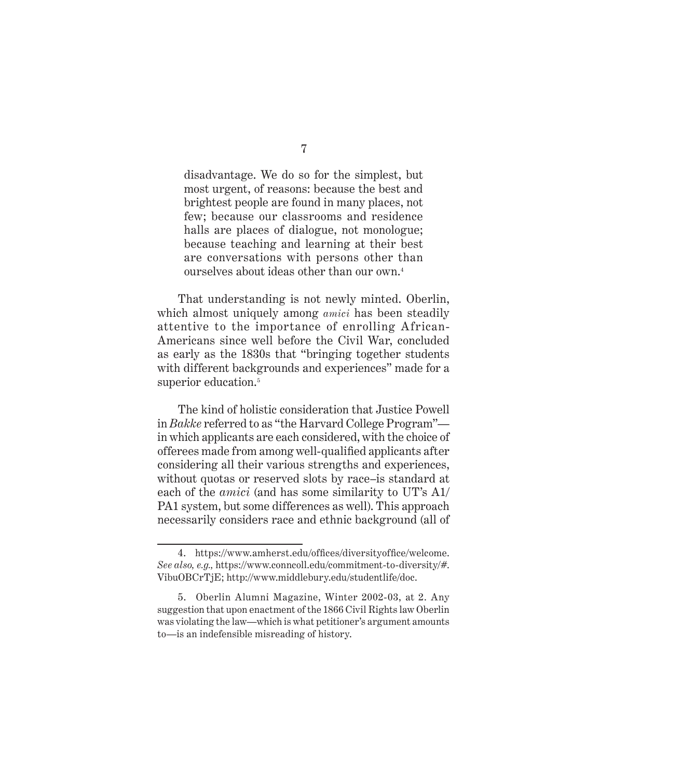disadvantage. We do so for the simplest, but most urgent, of reasons: because the best and brightest people are found in many places, not few; because our classrooms and residence halls are places of dialogue, not monologue; because teaching and learning at their best are conversations with persons other than ourselves about ideas other than our own.4

That understanding is not newly minted. Oberlin, which almost uniquely among *amici* has been steadily attentive to the importance of enrolling African-Americans since well before the Civil War, concluded as early as the 1830s that "bringing together students with different backgrounds and experiences" made for a superior education.<sup>5</sup>

The kind of holistic consideration that Justice Powell in *Bakke* referred to as "the Harvard College Program" in which applicants are each considered, with the choice of offerees made from among well-qualified applicants after considering all their various strengths and experiences, without quotas or reserved slots by race–is standard at each of the *amici* (and has some similarity to UT's A1/ PA1 system, but some differences as well). This approach necessarily considers race and ethnic background (all of

<sup>4.</sup> https://www.amherst.edu/offices/diversityoffice/welcome. *See also, e.g.,* https://www.conncoll.edu/commitment-to-diversity/#. VibuOBCrTjE; http://www.middlebury.edu/studentlife/doc.

<sup>5.</sup> Oberlin Alumni Magazine, Winter 2002-03, at 2. Any suggestion that upon enactment of the 1866 Civil Rights law Oberlin was violating the law—which is what petitioner's argument amounts to—is an indefensible misreading of history.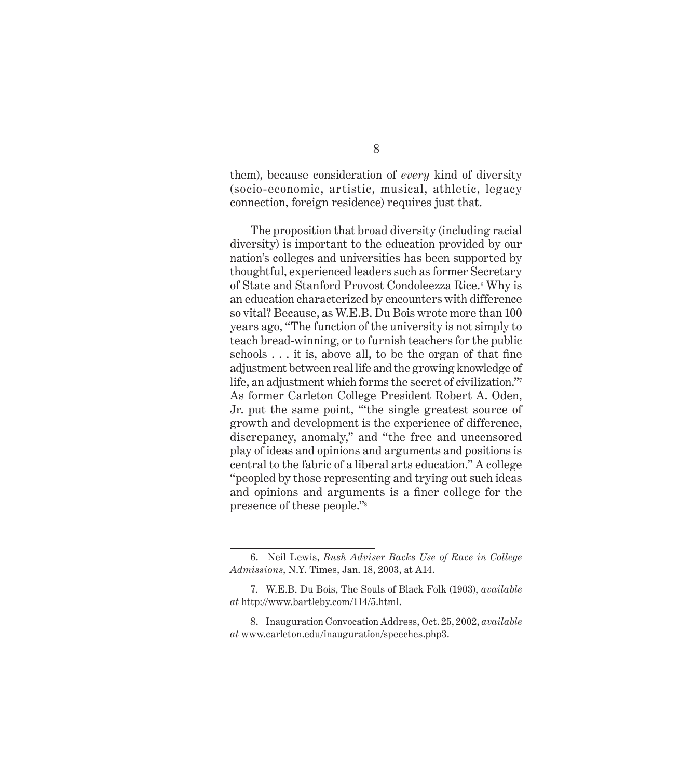them), because consideration of *every* kind of diversity (socio-economic, artistic, musical, athletic, legacy connection, foreign residence) requires just that.

The proposition that broad diversity (including racial diversity) is important to the education provided by our nation's colleges and universities has been supported by thoughtful, experienced leaders such as former Secretary of State and Stanford Provost Condoleezza Rice.<sup>6</sup> Why is an education characterized by encounters with difference so vital? Because, as W.E.B. Du Bois wrote more than 100 years ago, "The function of the university is not simply to teach bread-winning, or to furnish teachers for the public schools  $\dots$  it is, above all, to be the organ of that fine adjustment between real life and the growing knowledge of life, an adjustment which forms the secret of civilization." As former Carleton College President Robert A. Oden, Jr. put the same point, "'the single greatest source of growth and development is the experience of difference, discrepancy, anomaly," and "the free and uncensored play of ideas and opinions and arguments and positions is central to the fabric of a liberal arts education." A college "peopled by those representing and trying out such ideas and opinions and arguments is a finer college for the presence of these people."8

<sup>6.</sup> Neil Lewis, *Bush Adviser Backs Use of Race in College Admissions*, N.Y. Times, Jan. 18, 2003, at A14.

<sup>7.</sup> W.E.B. Du Bois, The Souls of Black Folk (1903), *available at* http://www.bartleby.com/114/5.html.

<sup>8.</sup> Inauguration Convocation Address, Oct. 25, 2002, *available at* www.carleton.edu/inauguration/speeches.php3.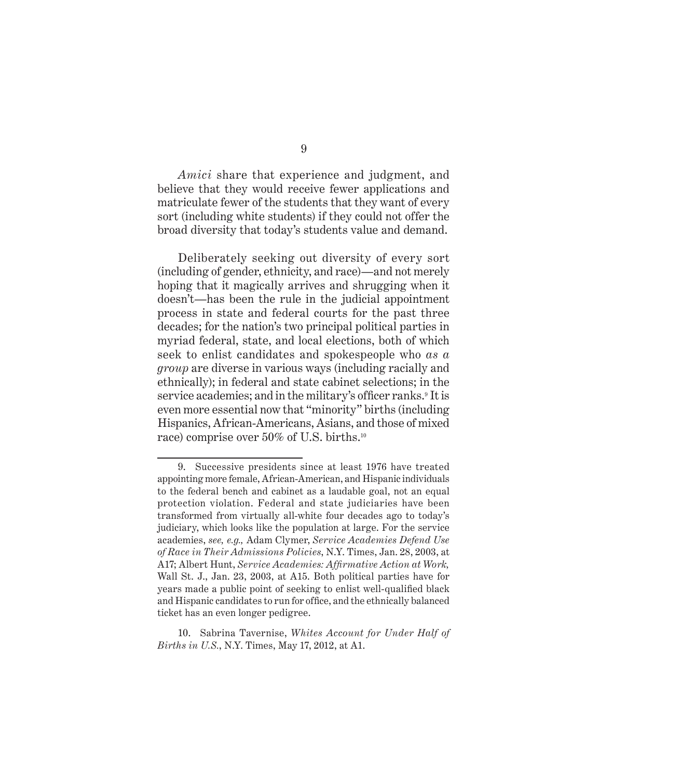*Amici* share that experience and judgment, and believe that they would receive fewer applications and matriculate fewer of the students that they want of every sort (including white students) if they could not offer the broad diversity that today's students value and demand.

Deliberately seeking out diversity of every sort (including of gender, ethnicity, and race)—and not merely hoping that it magically arrives and shrugging when it doesn't—has been the rule in the judicial appointment process in state and federal courts for the past three decades; for the nation's two principal political parties in myriad federal, state, and local elections, both of which seek to enlist candidates and spokespeople who *as a group* are diverse in various ways (including racially and ethnically); in federal and state cabinet selections; in the service academies; and in the military's officer ranks.<sup>9</sup> It is even more essential now that "minority" births (including Hispanics, African-Americans, Asians, and those of mixed race) comprise over 50% of U.S. births.10

10. Sabrina Tavernise, *Whites Account for Under Half of Births in U.S.*, N.Y. Times, May 17, 2012, at A1.

<sup>9.</sup> Successive presidents since at least 1976 have treated appointing more female, African-American, and Hispanic individuals to the federal bench and cabinet as a laudable goal, not an equal protection violation. Federal and state judiciaries have been transformed from virtually all-white four decades ago to today's judiciary, which looks like the population at large. For the service academies, *see, e.g.,* Adam Clymer, *Service Academies Defend Use of Race in Their Admissions Policies*, N.Y. Times, Jan. 28, 2003, at A17; Albert Hunt, *Service Academies: Affirmative Action at Work*, Wall St. J., Jan. 23, 2003, at A15. Both political parties have for years made a public point of seeking to enlist well-qualified black and Hispanic candidates to run for office, and the ethnically balanced ticket has an even longer pedigree.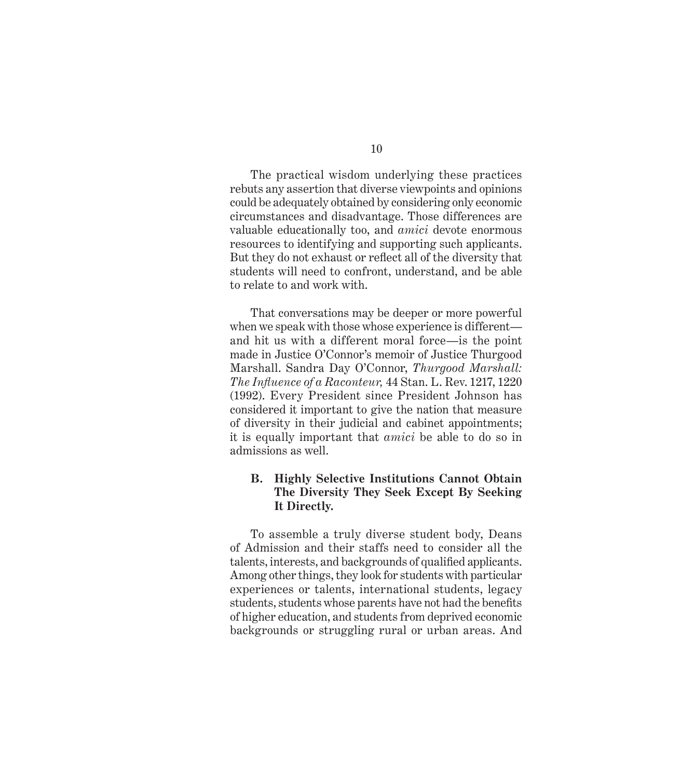The practical wisdom underlying these practices rebuts any assertion that diverse viewpoints and opinions could be adequately obtained by considering only economic circumstances and disadvantage. Those differences are valuable educationally too, and *amici* devote enormous resources to identifying and supporting such applicants. But they do not exhaust or reflect all of the diversity that students will need to confront, understand, and be able to relate to and work with.

That conversations may be deeper or more powerful when we speak with those whose experience is different and hit us with a different moral force—is the point made in Justice O'Connor's memoir of Justice Thurgood Marshall. Sandra Day O'Connor, *Thurgood Marshall: The Infl uence of a Raconteur,* 44 Stan. L. Rev. 1217, 1220 (1992). Every President since President Johnson has considered it important to give the nation that measure of diversity in their judicial and cabinet appointments; it is equally important that *amici* be able to do so in admissions as well.

#### **B. Highly Selective Institutions Cannot Obtain The Diversity They Seek Except By Seeking It Directly.**

To assemble a truly diverse student body, Deans of Admission and their staffs need to consider all the talents, interests, and backgrounds of qualified applicants. Among other things, they look for students with particular experiences or talents, international students, legacy students, students whose parents have not had the benefits of higher education, and students from deprived economic backgrounds or struggling rural or urban areas. And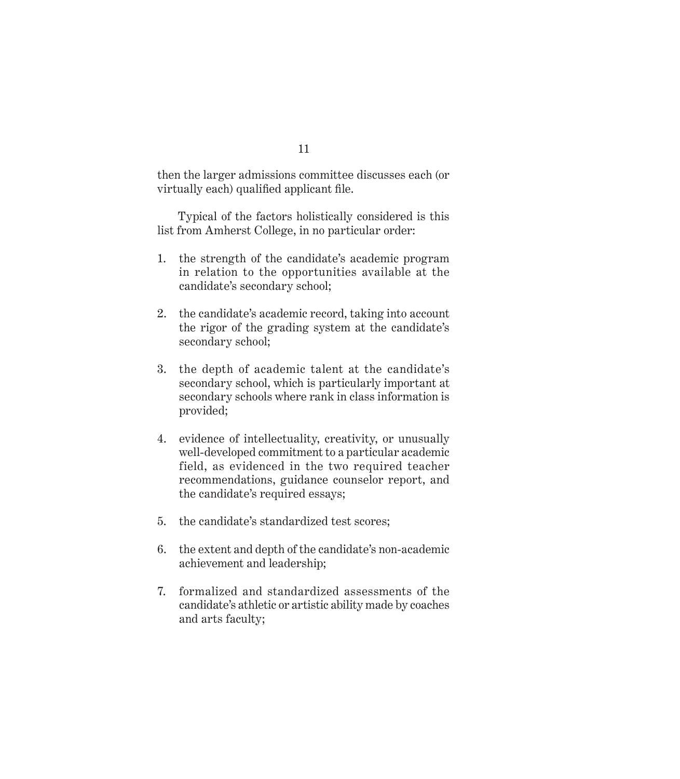then the larger admissions committee discusses each (or virtually each) qualified applicant file.

Typical of the factors holistically considered is this list from Amherst College, in no particular order:

- 1. the strength of the candidate's academic program in relation to the opportunities available at the candidate's secondary school;
- 2. the candidate's academic record, taking into account the rigor of the grading system at the candidate's secondary school;
- 3. the depth of academic talent at the candidate's secondary school, which is particularly important at secondary schools where rank in class information is provided;
- 4. evidence of intellectuality, creativity, or unusually well-developed commitment to a particular academic field, as evidenced in the two required teacher recommendations, guidance counselor report, and the candidate's required essays;
- 5. the candidate's standardized test scores;
- 6. the extent and depth of the candidate's non-academic achievement and leadership;
- 7. formalized and standardized assessments of the candidate's athletic or artistic ability made by coaches and arts faculty;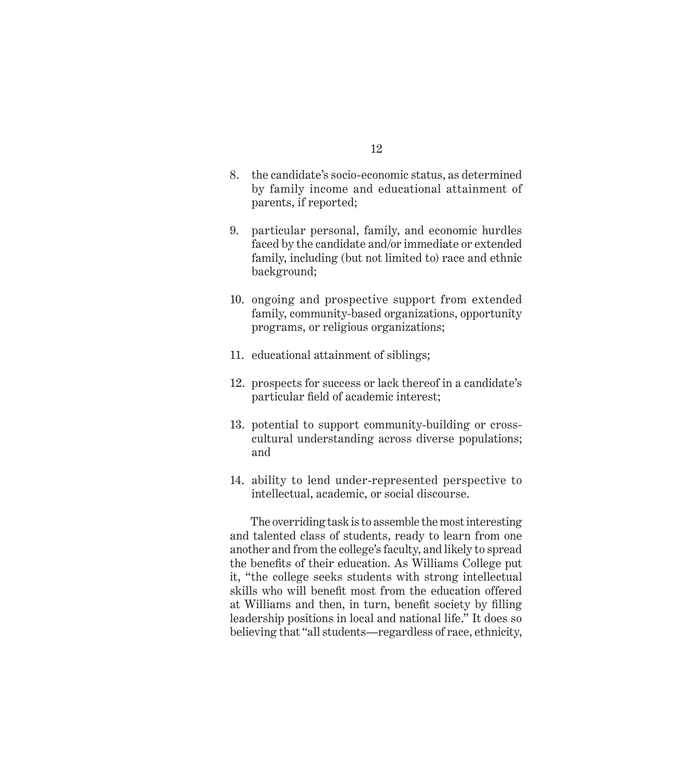- 8. the candidate's socio-economic status, as determined by family income and educational attainment of parents, if reported;
- 9. particular personal, family, and economic hurdles faced by the candidate and/or immediate or extended family, including (but not limited to) race and ethnic background;
- 10. ongoing and prospective support from extended family, community-based organizations, opportunity programs, or religious organizations;
- 11. educational attainment of siblings;
- 12. prospects for success or lack thereof in a candidate's particular field of academic interest;
- 13. potential to support community-building or crosscultural understanding across diverse populations; and
- 14. ability to lend under-represented perspective to intellectual, academic, or social discourse.

The overriding task is to assemble the most interesting and talented class of students, ready to learn from one another and from the college's faculty, and likely to spread the benefits of their education. As Williams College put it, "the college seeks students with strong intellectual skills who will benefit most from the education offered at Williams and then, in turn, benefit society by filling leadership positions in local and national life." It does so believing that "all students—regardless of race, ethnicity,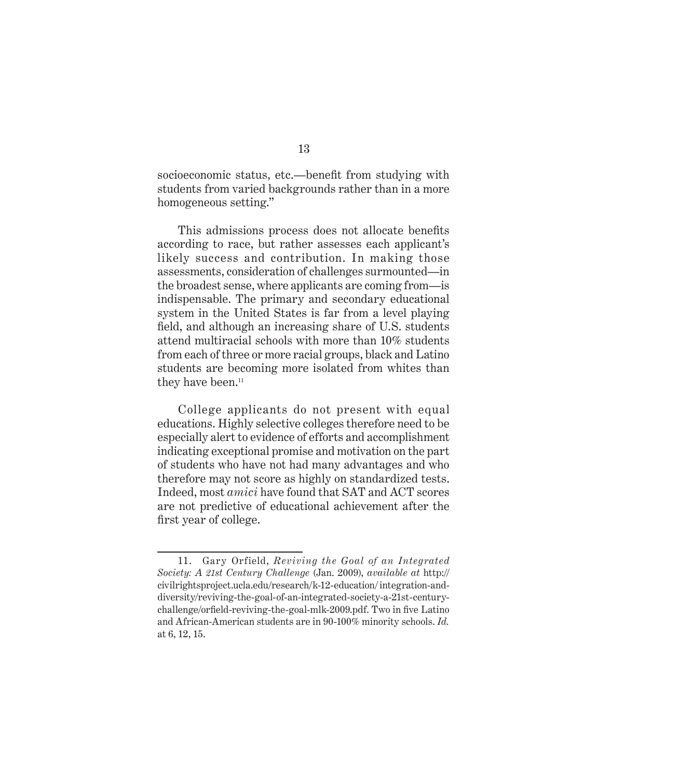socioeconomic status, etc.—benefit from studying with students from varied backgrounds rather than in a more homogeneous setting."

This admissions process does not allocate benefits according to race, but rather assesses each applicant's likely success and contribution. In making those assessments, consideration of challenges surmounted—in the broadest sense, where applicants are coming from—is indispensable. The primary and secondary educational system in the United States is far from a level playing field, and although an increasing share of U.S. students attend multiracial schools with more than 10% students from each of three or more racial groups, black and Latino students are becoming more isolated from whites than they have been.<sup>11</sup>

College applicants do not present with equal educations. Highly selective colleges therefore need to be especially alert to evidence of efforts and accomplishment indicating exceptional promise and motivation on the part of students who have not had many advantages and who therefore may not score as highly on standardized tests. Indeed, most *amici* have found that SAT and ACT scores are not predictive of educational achievement after the first year of college.

<sup>11.</sup> Gary Orfield, *Reviving the Goal of an Integrated Society: A 21st Century Challenge* (Jan. 2009), *available at* http:// civilrightsproject.ucla.edu/research/k-12-education/ integration-anddiversity/reviving-the-goal-of-an-integrated-society-a-21st-centurychallenge/orfield-reviving-the-goal-mlk-2009.pdf. Two in five Latino and African-American students are in 90-100% minority schools. *Id.* at 6, 12, 15.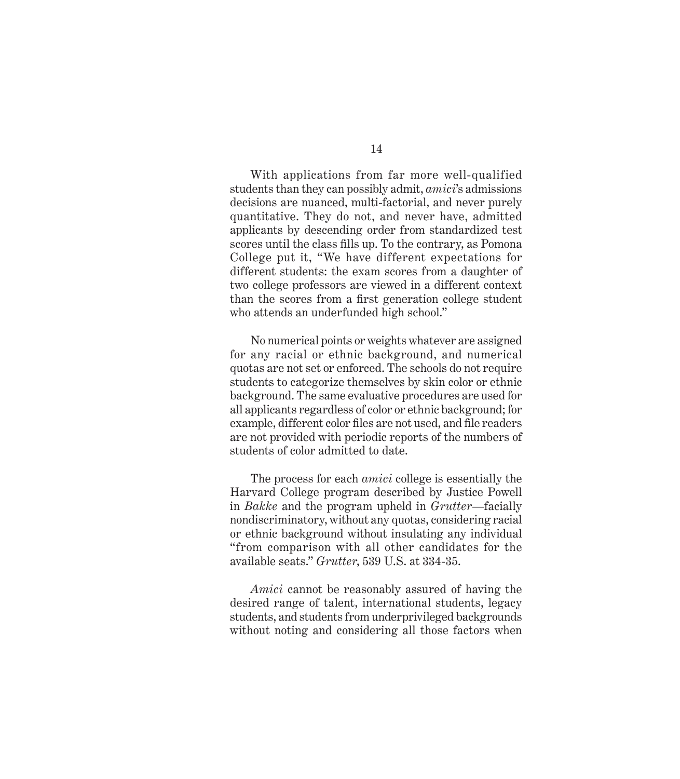With applications from far more well-qualified students than they can possibly admit, *amici*'s admissions decisions are nuanced, multi-factorial, and never purely quantitative. They do not, and never have, admitted applicants by descending order from standardized test scores until the class fills up. To the contrary, as Pomona College put it, "We have different expectations for different students: the exam scores from a daughter of two college professors are viewed in a different context than the scores from a first generation college student who attends an underfunded high school."

No numerical points or weights whatever are assigned for any racial or ethnic background, and numerical quotas are not set or enforced. The schools do not require students to categorize themselves by skin color or ethnic background. The same evaluative procedures are used for all applicants regardless of color or ethnic background; for example, different color files are not used, and file readers are not provided with periodic reports of the numbers of students of color admitted to date.

The process for each *amici* college is essentially the Harvard College program described by Justice Powell in *Bakke* and the program upheld in *Grutter*—facially nondiscriminatory, without any quotas, considering racial or ethnic background without insulating any individual "from comparison with all other candidates for the available seats." *Grutter*, 539 U.S. at 334-35.

*Amici* cannot be reasonably assured of having the desired range of talent, international students, legacy students, and students from underprivileged backgrounds without noting and considering all those factors when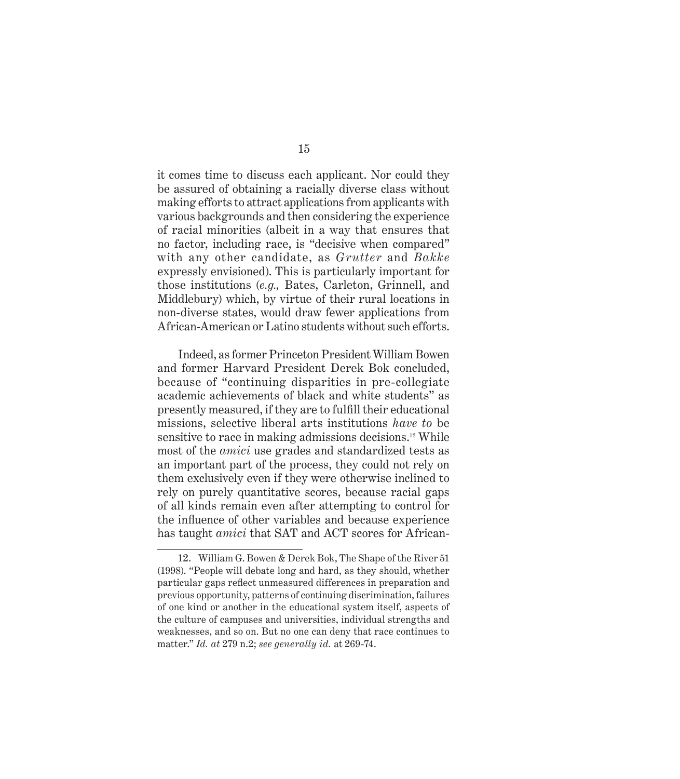it comes time to discuss each applicant. Nor could they be assured of obtaining a racially diverse class without making efforts to attract applications from applicants with various backgrounds and then considering the experience of racial minorities (albeit in a way that ensures that no factor, including race, is "decisive when compared" with any other candidate, as *Grutter* and *Bakke*  expressly envisioned). This is particularly important for those institutions (*e.g.,* Bates, Carleton, Grinnell, and Middlebury) which, by virtue of their rural locations in non-diverse states, would draw fewer applications from African-American or Latino students without such efforts.

Indeed, as former Princeton President William Bowen and former Harvard President Derek Bok concluded, because of "continuing disparities in pre-collegiate academic achievements of black and white students" as presently measured, if they are to fulfill their educational missions, selective liberal arts institutions *have to* be sensitive to race in making admissions decisions.12 While most of the *amici* use grades and standardized tests as an important part of the process, they could not rely on them exclusively even if they were otherwise inclined to rely on purely quantitative scores, because racial gaps of all kinds remain even after attempting to control for the influence of other variables and because experience has taught *amici* that SAT and ACT scores for African-

<sup>12.</sup> William G. Bowen & Derek Bok, The Shape of the River 51 (1998). "People will debate long and hard, as they should, whether particular gaps reflect unmeasured differences in preparation and previous opportunity, patterns of continuing discrimination, failures of one kind or another in the educational system itself, aspects of the culture of campuses and universities, individual strengths and weaknesses, and so on. But no one can deny that race continues to matter." *Id. at* 279 n.2; *see generally id.* at 269-74.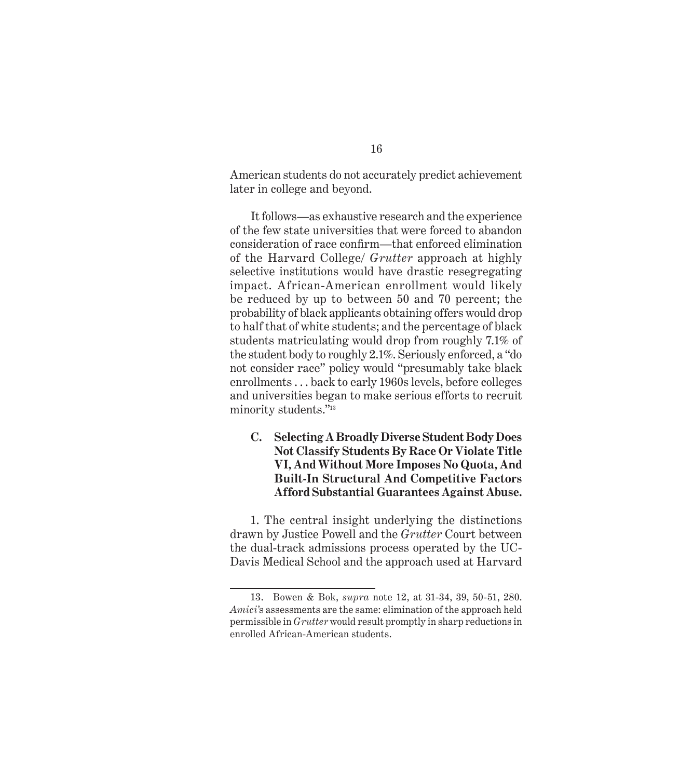American students do not accurately predict achievement later in college and beyond.

It follows—as exhaustive research and the experience of the few state universities that were forced to abandon consideration of race confirm—that enforced elimination of the Harvard College/ *Grutter* approach at highly selective institutions would have drastic resegregating impact. African-American enrollment would likely be reduced by up to between 50 and 70 percent; the probability of black applicants obtaining offers would drop to half that of white students; and the percentage of black students matriculating would drop from roughly 7.1% of the student body to roughly 2.1%. Seriously enforced, a "do not consider race" policy would "presumably take black enrollments . . . back to early 1960s levels, before colleges and universities began to make serious efforts to recruit minority students."13

#### **C. Selecting A Broadly Diverse Student Body Does Not Classify Students By Race Or Violate Title VI, And Without More Imposes No Quota, And Built-In Structural And Competitive Factors Afford Substantial Guarantees Against Abuse.**

1. The central insight underlying the distinctions drawn by Justice Powell and the *Grutter* Court between the dual-track admissions process operated by the UC-Davis Medical School and the approach used at Harvard

<sup>13.</sup> Bowen & Bok, *supra* note 12, at 31-34, 39, 50-51, 280. *Amici'*s assessments are the same: elimination of the approach held permissible in *Grutter* would result promptly in sharp reductions in enrolled African-American students.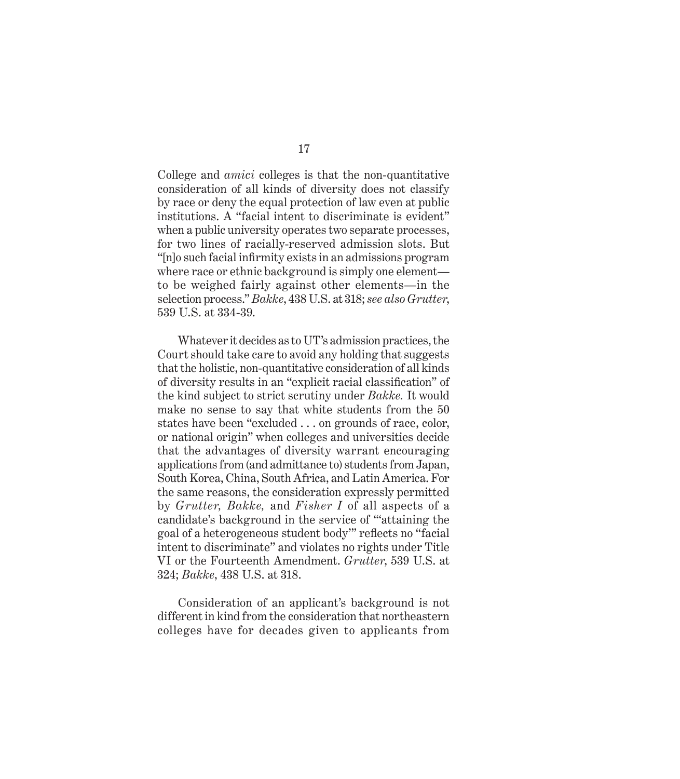College and *amici* colleges is that the non-quantitative consideration of all kinds of diversity does not classify by race or deny the equal protection of law even at public institutions. A "facial intent to discriminate is evident" when a public university operates two separate processes, for two lines of racially-reserved admission slots. But "[n]o such facial infirmity exists in an admissions program where race or ethnic background is simply one element to be weighed fairly against other elements—in the selection process." *Bakke*, 438 U.S. at 318; *see also Grutter*, 539 U.S. at 334-39.

Whatever it decides as to UT's admission practices, the Court should take care to avoid any holding that suggests that the holistic, non-quantitative consideration of all kinds of diversity results in an "explicit racial classification" of the kind subject to strict scrutiny under *Bakke.* It would make no sense to say that white students from the 50 states have been "excluded . . . on grounds of race, color, or national origin" when colleges and universities decide that the advantages of diversity warrant encouraging applications from (and admittance to) students from Japan, South Korea, China, South Africa, and Latin America. For the same reasons, the consideration expressly permitted by *Grutter, Bakke,* and *Fisher I* of all aspects of a candidate's background in the service of "'attaining the goal of a heterogeneous student body" reflects no "facial intent to discriminate" and violates no rights under Title VI or the Fourteenth Amendment. *Grutter*, 539 U.S. at 324; *Bakke*, 438 U.S. at 318.

Consideration of an applicant's background is not different in kind from the consideration that northeastern colleges have for decades given to applicants from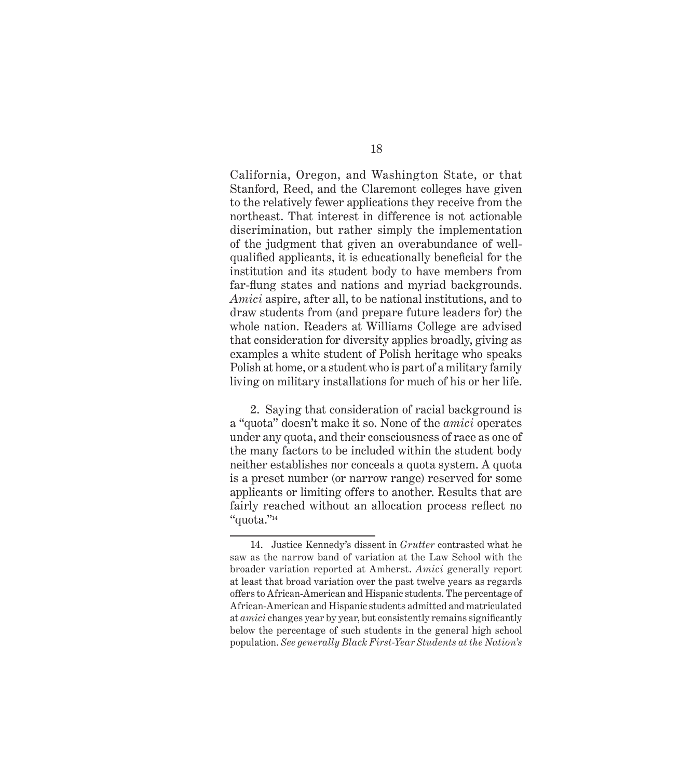California, Oregon, and Washington State, or that Stanford, Reed, and the Claremont colleges have given to the relatively fewer applications they receive from the northeast. That interest in difference is not actionable discrimination, but rather simply the implementation of the judgment that given an overabundance of wellqualified applicants, it is educationally beneficial for the institution and its student body to have members from far-flung states and nations and myriad backgrounds. *Amici* aspire, after all, to be national institutions, and to draw students from (and prepare future leaders for) the whole nation. Readers at Williams College are advised that consideration for diversity applies broadly, giving as examples a white student of Polish heritage who speaks Polish at home, or a student who is part of a military family living on military installations for much of his or her life.

2. Saying that consideration of racial background is a "quota" doesn't make it so. None of the *amici* operates under any quota, and their consciousness of race as one of the many factors to be included within the student body neither establishes nor conceals a quota system. A quota is a preset number (or narrow range) reserved for some applicants or limiting offers to another. Results that are fairly reached without an allocation process reflect no "quota."14

<sup>14.</sup> Justice Kennedy's dissent in *Grutter* contrasted what he saw as the narrow band of variation at the Law School with the broader variation reported at Amherst. *Amici* generally report at least that broad variation over the past twelve years as regards offers to African-American and Hispanic students. The percentage of African-American and Hispanic students admitted and matriculated at *amici* changes year by year, but consistently remains significantly below the percentage of such students in the general high school population. *See generally Black First-Year Students at the Nation's*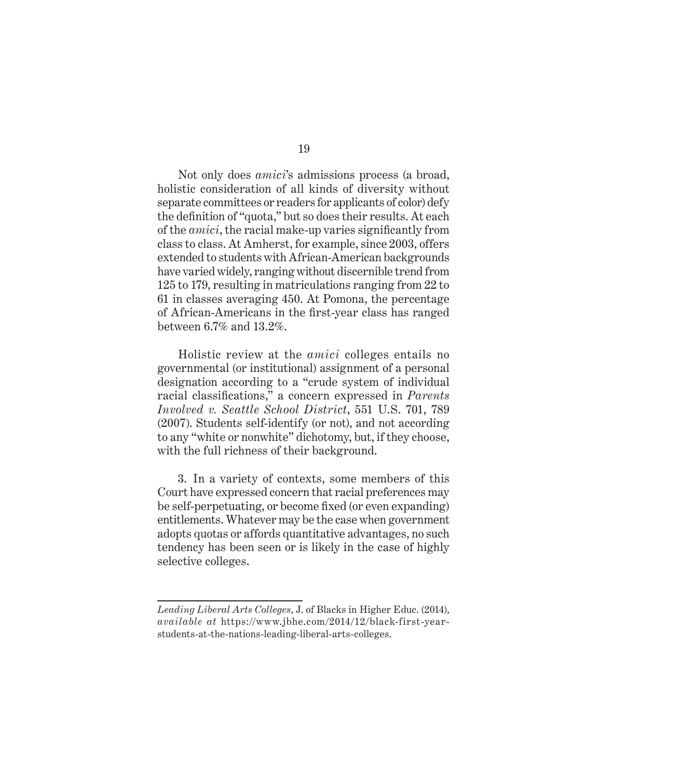Not only does *amici*'s admissions process (a broad, holistic consideration of all kinds of diversity without separate committees or readers for applicants of color) defy the definition of "quota," but so does their results. At each of the *amici*, the racial make-up varies significantly from class to class. At Amherst, for example, since 2003, offers extended to students with African-American backgrounds have varied widely, ranging without discernible trend from 125 to 179, resulting in matriculations ranging from 22 to 61 in classes averaging 450. At Pomona, the percentage of African-Americans in the first-year class has ranged between 6.7% and 13.2%.

Holistic review at the *amici* colleges entails no governmental (or institutional) assignment of a personal designation according to a "crude system of individual racial classifications," a concern expressed in *Parents Involved v. Seattle School District*, 551 U.S. 701, 789 (2007). Students self-identify (or not), and not according to any "white or nonwhite" dichotomy, but, if they choose, with the full richness of their background.

3. In a variety of contexts, some members of this Court have expressed concern that racial preferences may be self-perpetuating, or become fixed (or even expanding) entitlements. Whatever may be the case when government adopts quotas or affords quantitative advantages, no such tendency has been seen or is likely in the case of highly selective colleges.

*Leading Liberal Arts Colleges*, J. of Blacks in Higher Educ. (2014), *available at* https://www.jbhe.com/2014/12/black-first-yearstudents-at-the-nations-leading-liberal-arts-colleges.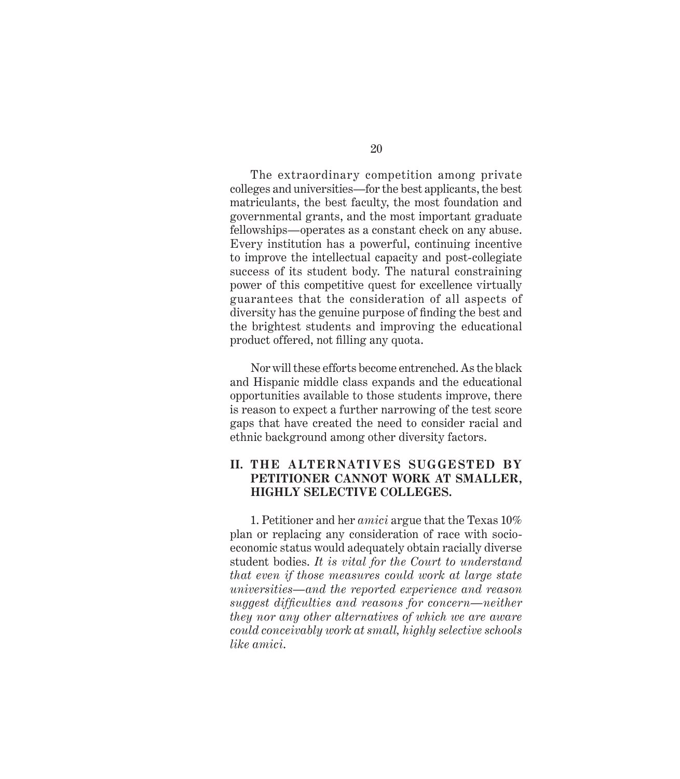The extraordinary competition among private colleges and universities—for the best applicants, the best matriculants, the best faculty, the most foundation and governmental grants, and the most important graduate fellowships—operates as a constant check on any abuse. Every institution has a powerful, continuing incentive to improve the intellectual capacity and post-collegiate success of its student body. The natural constraining power of this competitive quest for excellence virtually guarantees that the consideration of all aspects of diversity has the genuine purpose of finding the best and the brightest students and improving the educational product offered, not filling any quota.

Nor will these efforts become entrenched. As the black and Hispanic middle class expands and the educational opportunities available to those students improve, there is reason to expect a further narrowing of the test score gaps that have created the need to consider racial and ethnic background among other diversity factors.

#### **II. THE A LT ERNATI V ES SUGGEST ED BY PETITIONER CANNOT WORK AT SMALLER, HIGHLY SELECTIVE COLLEGES.**

1. Petitioner and her *amici* argue that the Texas 10% plan or replacing any consideration of race with socioeconomic status would adequately obtain racially diverse student bodies. *It is vital for the Court to understand that even if those measures could work at large state universities—and the reported experience and reason suggest difficulties and reasons for concern—neither they nor any other alternatives of which we are aware could conceivably work at small, highly selective schools like amici*.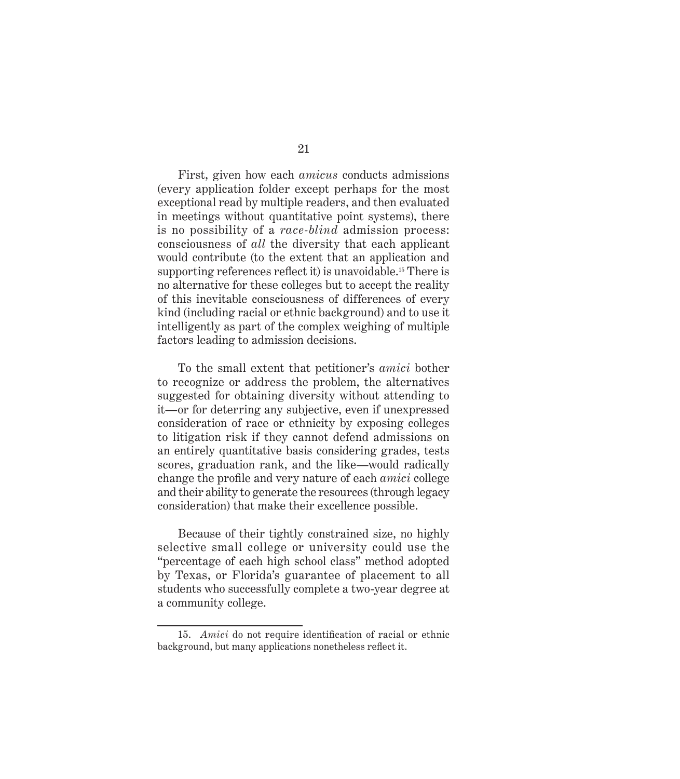First, given how each *amicus* conducts admissions (every application folder except perhaps for the most exceptional read by multiple readers, and then evaluated in meetings without quantitative point systems), there is no possibility of a *race-blind* admission process: consciousness of *all* the diversity that each applicant would contribute (to the extent that an application and supporting references reflect it) is unavoidable.<sup>15</sup> There is no alternative for these colleges but to accept the reality of this inevitable consciousness of differences of every kind (including racial or ethnic background) and to use it intelligently as part of the complex weighing of multiple factors leading to admission decisions.

To the small extent that petitioner's *amici* bother to recognize or address the problem, the alternatives suggested for obtaining diversity without attending to it—or for deterring any subjective, even if unexpressed consideration of race or ethnicity by exposing colleges to litigation risk if they cannot defend admissions on an entirely quantitative basis considering grades, tests scores, graduation rank, and the like—would radically change the profile and very nature of each *amici* college and their ability to generate the resources (through legacy consideration) that make their excellence possible.

Because of their tightly constrained size, no highly selective small college or university could use the "percentage of each high school class" method adopted by Texas, or Florida's guarantee of placement to all students who successfully complete a two-year degree at a community college.

<sup>15.</sup> *Amici* do not require identification of racial or ethnic background, but many applications nonetheless reflect it.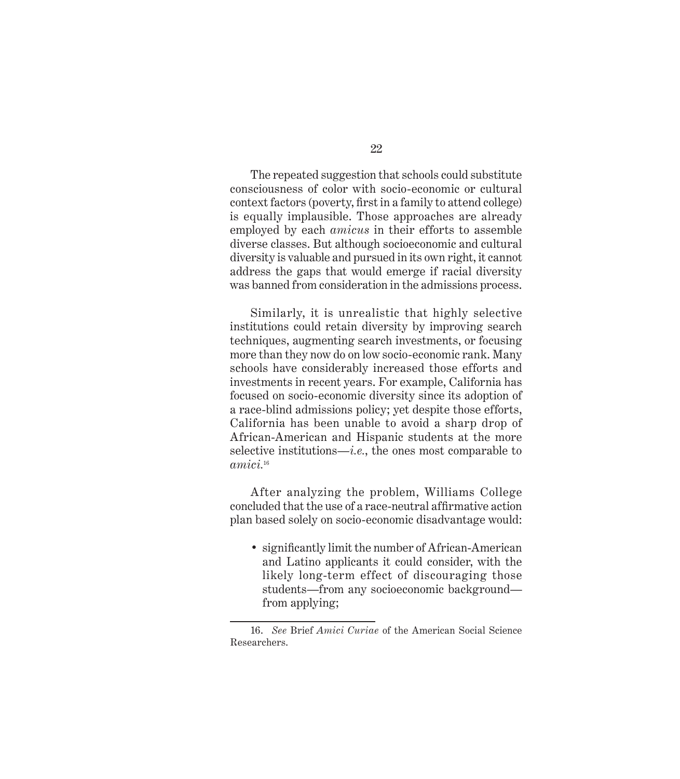The repeated suggestion that schools could substitute consciousness of color with socio-economic or cultural context factors (poverty, first in a family to attend college) is equally implausible. Those approaches are already employed by each *amicus* in their efforts to assemble diverse classes. But although socioeconomic and cultural diversity is valuable and pursued in its own right, it cannot address the gaps that would emerge if racial diversity was banned from consideration in the admissions process.

Similarly, it is unrealistic that highly selective institutions could retain diversity by improving search techniques, augmenting search investments, or focusing more than they now do on low socio-economic rank. Many schools have considerably increased those efforts and investments in recent years. For example, California has focused on socio-economic diversity since its adoption of a race-blind admissions policy; yet despite those efforts, California has been unable to avoid a sharp drop of African-American and Hispanic students at the more selective institutions—*i.e.*, the ones most comparable to *amici.*<sup>16</sup>

After analyzing the problem, Williams College concluded that the use of a race-neutral affirmative action plan based solely on socio-economic disadvantage would:

• significantly limit the number of African-American and Latino applicants it could consider, with the likely long-term effect of discouraging those students—from any socioeconomic background from applying;

<sup>16.</sup> *See* Brief *Amici Curiae* of the American Social Science Researchers.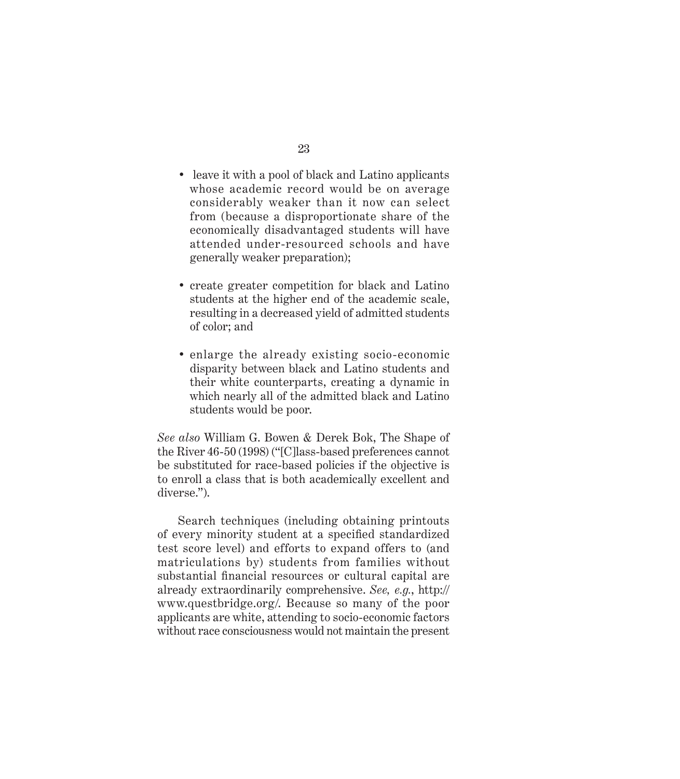- leave it with a pool of black and Latino applicants whose academic record would be on average considerably weaker than it now can select from (because a disproportionate share of the economically disadvantaged students will have attended under-resourced schools and have generally weaker preparation);
- create greater competition for black and Latino students at the higher end of the academic scale, resulting in a decreased yield of admitted students of color; and
- enlarge the already existing socio-economic disparity between black and Latino students and their white counterparts, creating a dynamic in which nearly all of the admitted black and Latino students would be poor.

*See also* William G. Bowen & Derek Bok, The Shape of the River 46-50 (1998) ("[C]lass-based preferences cannot be substituted for race-based policies if the objective is to enroll a class that is both academically excellent and diverse.").

Search techniques (including obtaining printouts of every minority student at a specified standardized test score level) and efforts to expand offers to (and matriculations by) students from families without substantial financial resources or cultural capital are already extraordinarily comprehensive. *See, e.g.*, http:// www.questbridge.org/. Because so many of the poor applicants are white, attending to socio-economic factors without race consciousness would not maintain the present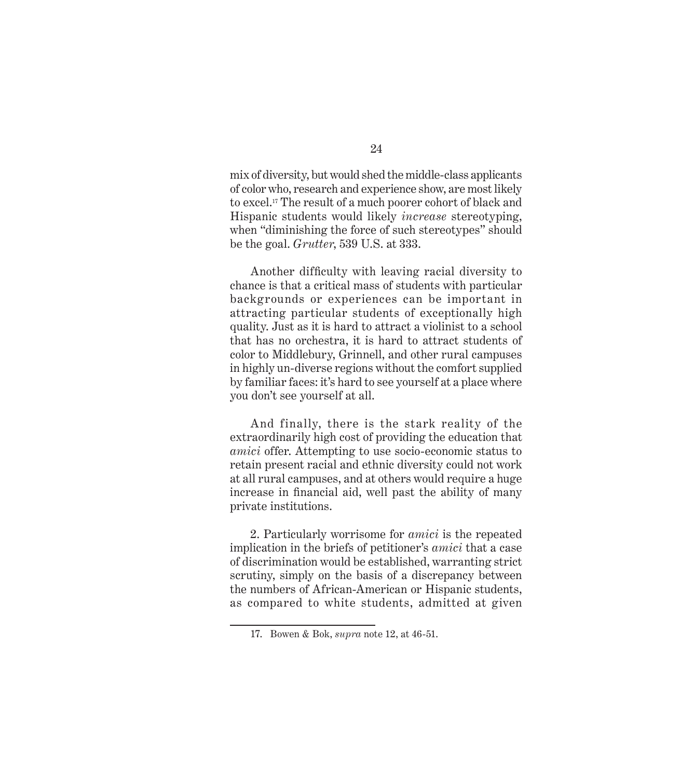mix of diversity, but would shed the middle-class applicants of color who, research and experience show, are most likely to excel.17 The result of a much poorer cohort of black and Hispanic students would likely *increase* stereotyping, when "diminishing the force of such stereotypes" should be the goal. *Grutter*, 539 U.S. at 333.

Another difficulty with leaving racial diversity to chance is that a critical mass of students with particular backgrounds or experiences can be important in attracting particular students of exceptionally high quality. Just as it is hard to attract a violinist to a school that has no orchestra, it is hard to attract students of color to Middlebury, Grinnell, and other rural campuses in highly un-diverse regions without the comfort supplied by familiar faces: it's hard to see yourself at a place where you don't see yourself at all.

And finally, there is the stark reality of the extraordinarily high cost of providing the education that *amici* offer. Attempting to use socio-economic status to retain present racial and ethnic diversity could not work at all rural campuses, and at others would require a huge increase in financial aid, well past the ability of many private institutions.

2. Particularly worrisome for *amici* is the repeated implication in the briefs of petitioner's *amici* that a case of discrimination would be established, warranting strict scrutiny, simply on the basis of a discrepancy between the numbers of African-American or Hispanic students, as compared to white students, admitted at given

<sup>17.</sup> Bowen & Bok, *supra* note 12, at 46-51.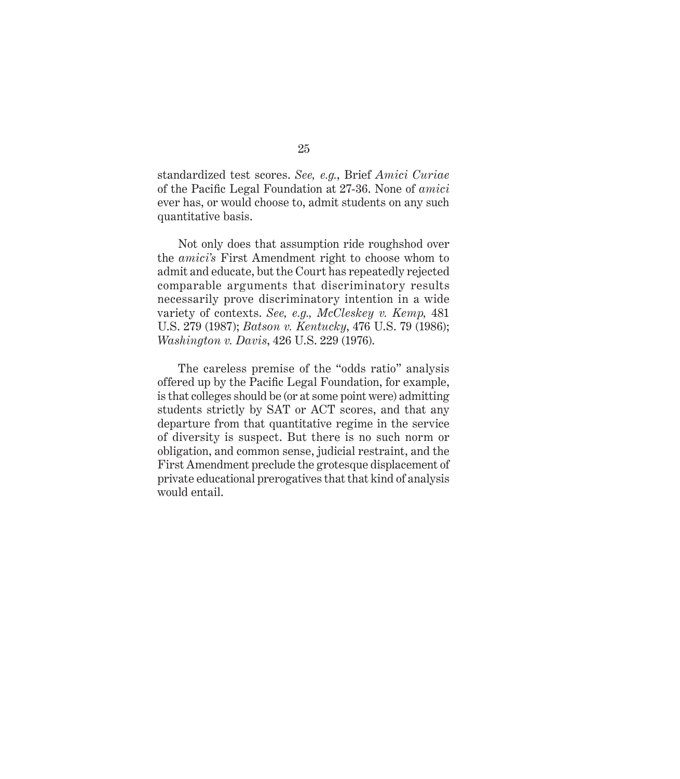standardized test scores. *See, e.g.*, Brief *Amici Curiae* of the Pacific Legal Foundation at 27-36. None of *amici* ever has, or would choose to, admit students on any such quantitative basis.

Not only does that assumption ride roughshod over the *amici's* First Amendment right to choose whom to admit and educate, but the Court has repeatedly rejected comparable arguments that discriminatory results necessarily prove discriminatory intention in a wide variety of contexts. *See, e.g., McCleskey v. Kemp,* 481 U.S. 279 (1987); *Batson v. Kentucky*, 476 U.S. 79 (1986); *Washington v. Davis*, 426 U.S. 229 (1976).

The careless premise of the "odds ratio" analysis offered up by the Pacific Legal Foundation, for example, is that colleges should be (or at some point were) admitting students strictly by SAT or ACT scores, and that any departure from that quantitative regime in the service of diversity is suspect. But there is no such norm or obligation, and common sense, judicial restraint, and the First Amendment preclude the grotesque displacement of private educational prerogatives that that kind of analysis would entail.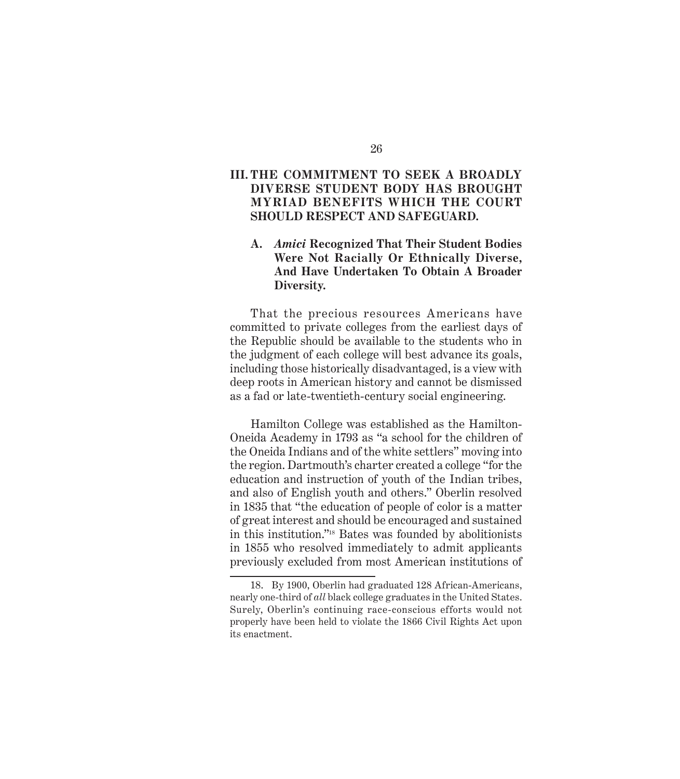#### **III. THE COMMITMENT TO SEEK A BROADLY DIVERSE STUDENT BODY HAS BROUGHT MYRIAD BENEFITS WHICH THE COURT SHOULD RESPECT AND SAFEGUARD.**

#### **A.** *Amici* **Recognized That Their Student Bodies Were Not Racially Or Ethnically Diverse, And Have Undertaken To Obtain A Broader Diversity.**

That the precious resources Americans have committed to private colleges from the earliest days of the Republic should be available to the students who in the judgment of each college will best advance its goals, including those historically disadvantaged, is a view with deep roots in American history and cannot be dismissed as a fad or late-twentieth-century social engineering.

Hamilton College was established as the Hamilton-Oneida Academy in 1793 as "a school for the children of the Oneida Indians and of the white settlers" moving into the region. Dartmouth's charter created a college "for the education and instruction of youth of the Indian tribes, and also of English youth and others." Oberlin resolved in 1835 that "the education of people of color is a matter of great interest and should be encouraged and sustained in this institution."18 Bates was founded by abolitionists in 1855 who resolved immediately to admit applicants previously excluded from most American institutions of

<sup>18.</sup> By 1900, Oberlin had graduated 128 African-Americans, nearly one-third of *all* black college graduates in the United States. Surely, Oberlin's continuing race-conscious efforts would not properly have been held to violate the 1866 Civil Rights Act upon its enactment.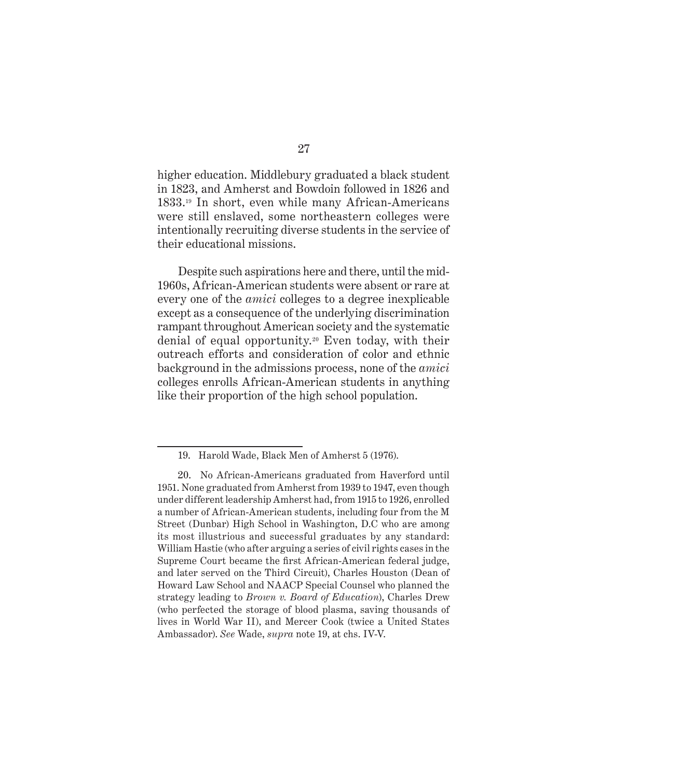higher education. Middlebury graduated a black student in 1823, and Amherst and Bowdoin followed in 1826 and 1833.19 In short, even while many African-Americans were still enslaved, some northeastern colleges were intentionally recruiting diverse students in the service of their educational missions.

Despite such aspirations here and there, until the mid-1960s, African-American students were absent or rare at every one of the *amici* colleges to a degree inexplicable except as a consequence of the underlying discrimination rampant throughout American society and the systematic denial of equal opportunity.20 Even today, with their outreach efforts and consideration of color and ethnic background in the admissions process, none of the *amici* colleges enrolls African-American students in anything like their proportion of the high school population.

<sup>19.</sup> Harold Wade, Black Men of Amherst 5 (1976).

<sup>20.</sup> No African-Americans graduated from Haverford until 1951. None graduated from Amherst from 1939 to 1947, even though under different leadership Amherst had, from 1915 to 1926, enrolled a number of African-American students, including four from the M Street (Dunbar) High School in Washington, D.C who are among its most illustrious and successful graduates by any standard: William Hastie (who after arguing a series of civil rights cases in the Supreme Court became the first African-American federal judge, and later served on the Third Circuit), Charles Houston (Dean of Howard Law School and NAACP Special Counsel who planned the strategy leading to *Brown v. Board of Education*), Charles Drew (who perfected the storage of blood plasma, saving thousands of lives in World War II), and Mercer Cook (twice a United States Ambassador). *See* Wade, *supra* note 19, at chs. IV-V.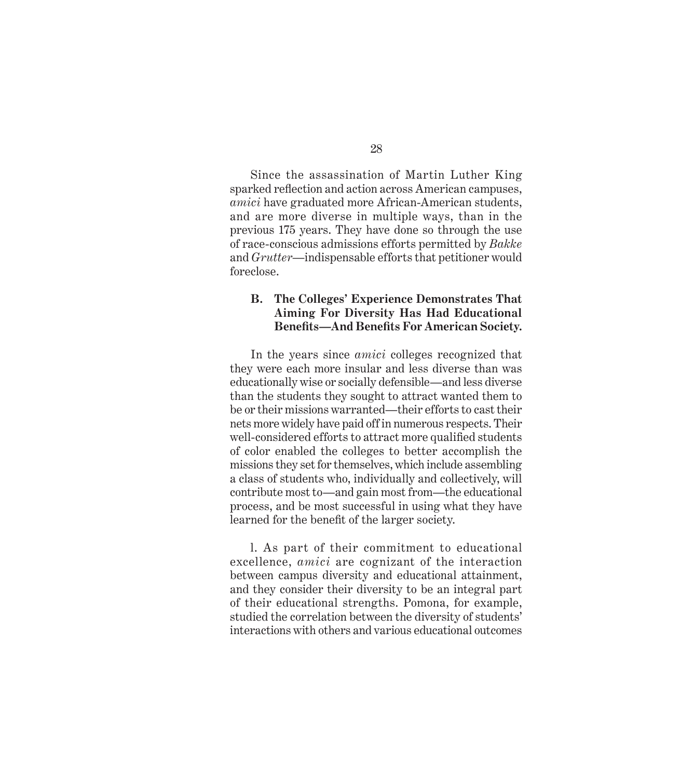Since the assassination of Martin Luther King sparked reflection and action across American campuses, *amici* have graduated more African-American students, and are more diverse in multiple ways, than in the previous 175 years. They have done so through the use of race-conscious admissions efforts permitted by *Bakke*  and *Grutter—*indispensable efforts that petitioner would foreclose.

#### **B. The Colleges' Experience Demonstrates That Aiming For Diversity Has Had Educational**  Benefits—And Benefits For American Society.

In the years since *amici* colleges recognized that they were each more insular and less diverse than was educationally wise or socially defensible—and less diverse than the students they sought to attract wanted them to be or their missions warranted—their efforts to cast their nets more widely have paid off in numerous respects. Their well-considered efforts to attract more qualified students of color enabled the colleges to better accomplish the missions they set for themselves, which include assembling a class of students who, individually and collectively, will contribute most to—and gain most from—the educational process, and be most successful in using what they have learned for the benefit of the larger society.

l. As part of their commitment to educational excellence, *amici* are cognizant of the interaction between campus diversity and educational attainment, and they consider their diversity to be an integral part of their educational strengths. Pomona, for example, studied the correlation between the diversity of students' interactions with others and various educational outcomes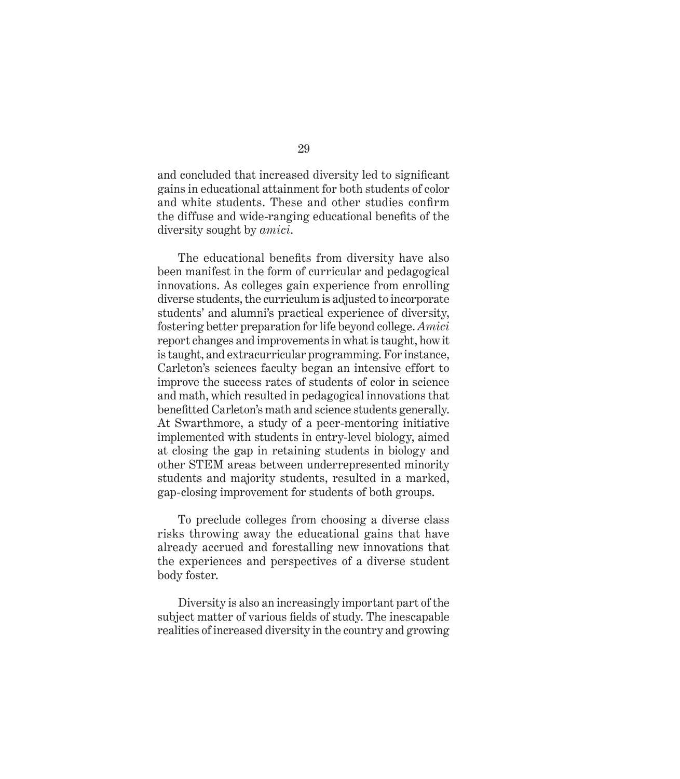and concluded that increased diversity led to significant gains in educational attainment for both students of color and white students. These and other studies confirm the diffuse and wide-ranging educational benefits of the diversity sought by *amici*.

The educational benefits from diversity have also been manifest in the form of curricular and pedagogical innovations. As colleges gain experience from enrolling diverse students, the curriculum is adjusted to incorporate students' and alumni's practical experience of diversity, fostering better preparation for life beyond college. *Amici* report changes and improvements in what is taught, how it is taught, and extracurricular programming. For instance, Carleton's sciences faculty began an intensive effort to improve the success rates of students of color in science and math, which resulted in pedagogical innovations that benefitted Carleton's math and science students generally. At Swarthmore, a study of a peer-mentoring initiative implemented with students in entry-level biology, aimed at closing the gap in retaining students in biology and other STEM areas between underrepresented minority students and majority students, resulted in a marked, gap-closing improvement for students of both groups.

To preclude colleges from choosing a diverse class risks throwing away the educational gains that have already accrued and forestalling new innovations that the experiences and perspectives of a diverse student body foster.

Diversity is also an increasingly important part of the subject matter of various fields of study. The inescapable realities of increased diversity in the country and growing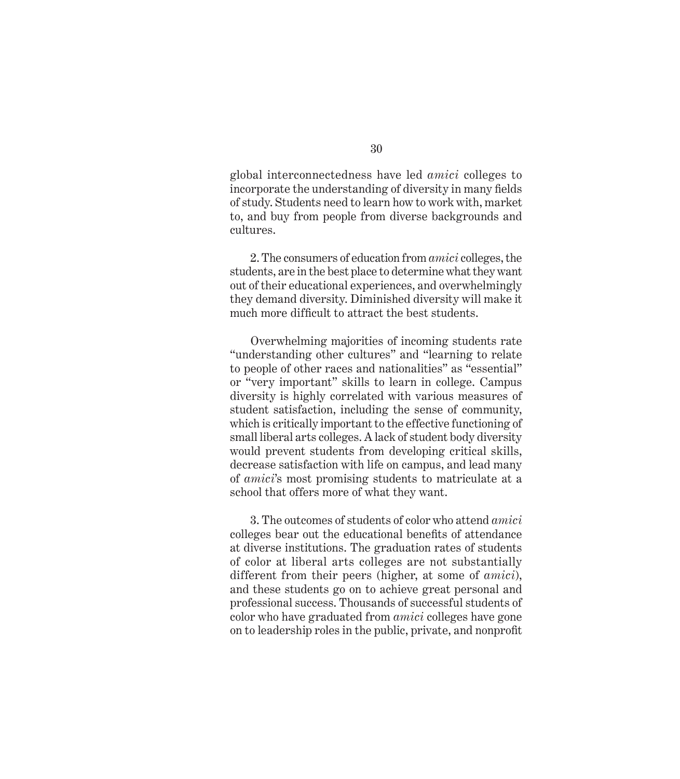global interconnectedness have led *amici* colleges to incorporate the understanding of diversity in many fields of study. Students need to learn how to work with, market to, and buy from people from diverse backgrounds and cultures.

2. The consumers of education from *amici* colleges, the students, are in the best place to determine what they want out of their educational experiences, and overwhelmingly they demand diversity. Diminished diversity will make it much more difficult to attract the best students.

Overwhelming majorities of incoming students rate "understanding other cultures" and "learning to relate to people of other races and nationalities" as "essential" or "very important" skills to learn in college. Campus diversity is highly correlated with various measures of student satisfaction, including the sense of community, which is critically important to the effective functioning of small liberal arts colleges. A lack of student body diversity would prevent students from developing critical skills, decrease satisfaction with life on campus, and lead many of *amici*'s most promising students to matriculate at a school that offers more of what they want.

3. The outcomes of students of color who attend *amici* colleges bear out the educational benefits of attendance at diverse institutions. The graduation rates of students of color at liberal arts colleges are not substantially different from their peers (higher, at some of *amici*), and these students go on to achieve great personal and professional success. Thousands of successful students of color who have graduated from *amici* colleges have gone on to leadership roles in the public, private, and nonprofit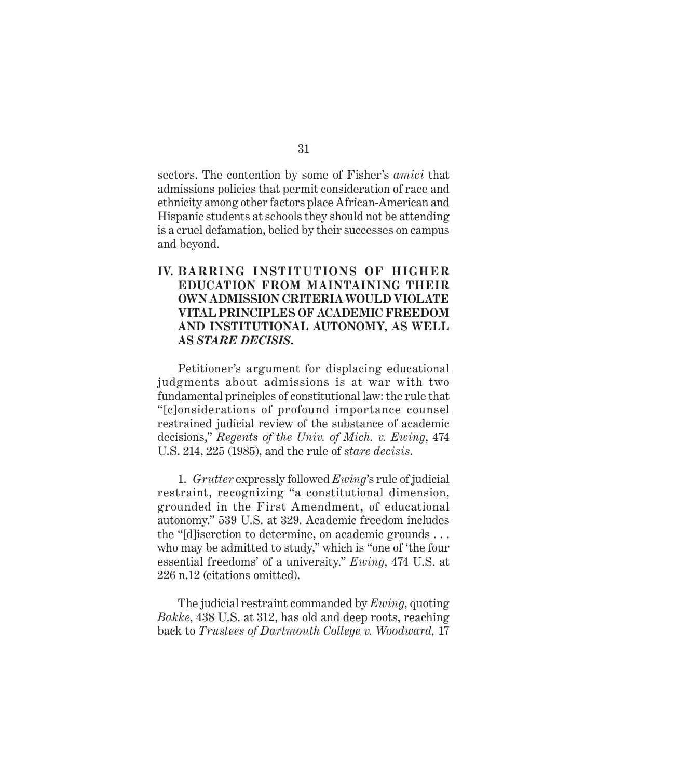sectors. The contention by some of Fisher's *amici* that admissions policies that permit consideration of race and ethnicity among other factors place African-American and Hispanic students at schools they should not be attending is a cruel defamation, belied by their successes on campus and beyond.

#### **IV. BARRING INSTITUTIONS OF HIGHER EDUCATION FROM MAINTAINING THEIR OWN ADMISSION CRITERIA WOULD VIOLATE VITAL PRINCIPLES OF ACADEMIC FREEDOM AND INSTITUTIONAL AUTONOMY, AS WELL AS** *STARE DECISIS***.**

Petitioner's argument for displacing educational judgments about admissions is at war with two fundamental principles of constitutional law: the rule that "[c]onsiderations of profound importance counsel restrained judicial review of the substance of academic decisions," *Regents of the Univ. of Mich. v. Ewing*, 474 U.S. 214, 225 (1985), and the rule of *stare decisis*.

1. *Grutter* expressly followed *Ewing*'s rule of judicial restraint, recognizing "a constitutional dimension, grounded in the First Amendment, of educational autonomy." 539 U.S. at 329. Academic freedom includes the "[d]iscretion to determine, on academic grounds . . . who may be admitted to study," which is "one of 'the four essential freedoms' of a university." *Ewing*, 474 U.S. at 226 n.12 (citations omitted).

The judicial restraint commanded by *Ewing*, quoting *Bakke*, 438 U.S. at 312, has old and deep roots, reaching back to *Trustees of Dartmouth College v. Woodward,* 17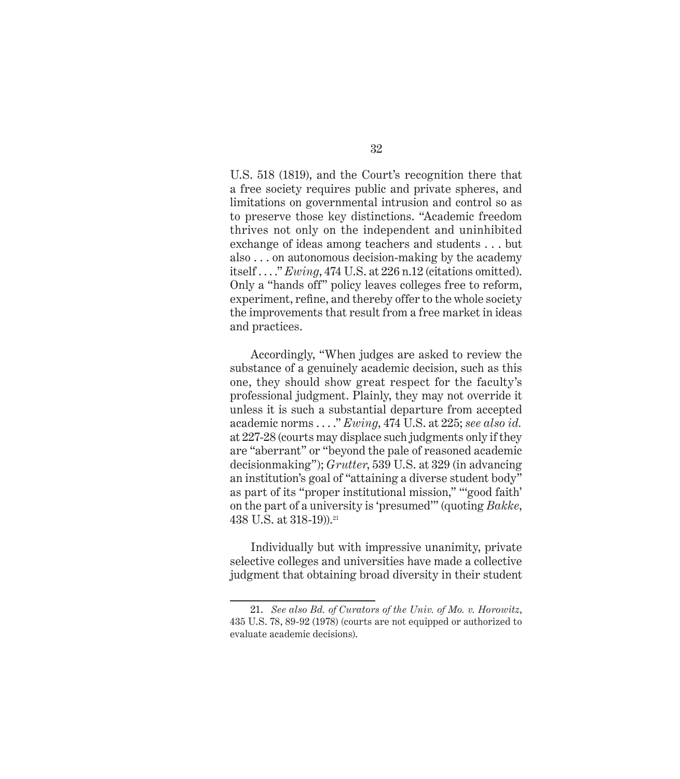U.S. 518 (1819), and the Court's recognition there that a free society requires public and private spheres, and limitations on governmental intrusion and control so as to preserve those key distinctions. "Academic freedom thrives not only on the independent and uninhibited exchange of ideas among teachers and students . . . but also . . . on autonomous decision-making by the academy itself . . . ." *Ewing*, 474 U.S. at 226 n.12 (citations omitted). Only a "hands off" policy leaves colleges free to reform, experiment, refine, and thereby offer to the whole society the improvements that result from a free market in ideas and practices.

Accordingly, "When judges are asked to review the substance of a genuinely academic decision, such as this one, they should show great respect for the faculty's professional judgment. Plainly, they may not override it unless it is such a substantial departure from accepted academic norms . . . ." *Ewing*, 474 U.S. at 225; *see also id.*  at 227-28 (courts may displace such judgments only if they are "aberrant" or "beyond the pale of reasoned academic decisionmaking"); *Grutter*, 539 U.S. at 329 (in advancing an institution's goal of "attaining a diverse student body" as part of its "proper institutional mission," "'good faith' on the part of a university is 'presumed'" (quoting *Bakke*, 438 U.S. at 318-19)).<sup>21</sup>

Individually but with impressive unanimity, private selective colleges and universities have made a collective judgment that obtaining broad diversity in their student

<sup>21.</sup> *See also Bd. of Curators of the Univ. of Mo. v. Horowitz*, 435 U.S. 78, 89-92 (1978) (courts are not equipped or authorized to evaluate academic decisions).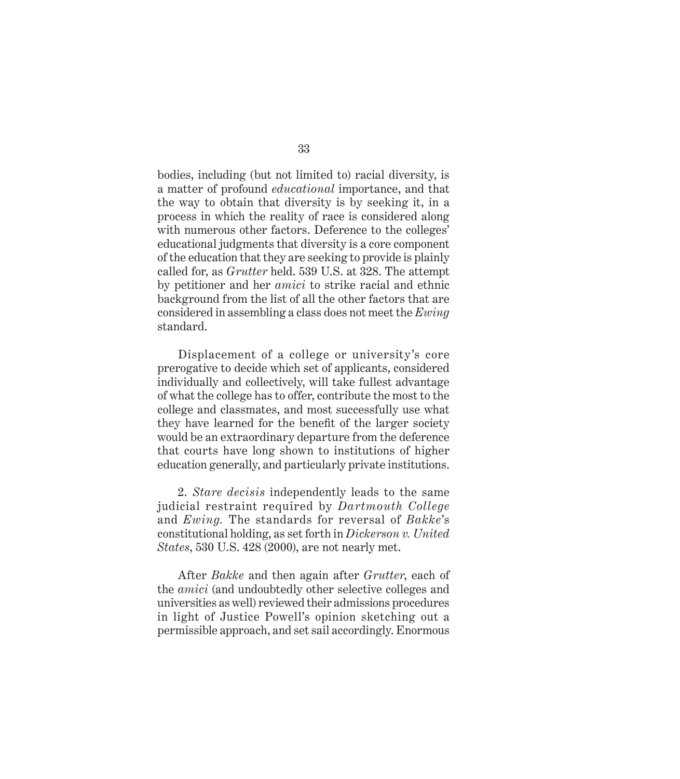bodies, including (but not limited to) racial diversity, is a matter of profound *educational* importance, and that the way to obtain that diversity is by seeking it, in a process in which the reality of race is considered along with numerous other factors. Deference to the colleges' educational judgments that diversity is a core component of the education that they are seeking to provide is plainly called for, as *Grutter* held. 539 U.S. at 328. The attempt by petitioner and her *amici* to strike racial and ethnic background from the list of all the other factors that are considered in assembling a class does not meet the *Ewing*  standard.

Displacement of a college or university's core prerogative to decide which set of applicants, considered individually and collectively, will take fullest advantage of what the college has to offer, contribute the most to the college and classmates, and most successfully use what they have learned for the benefit of the larger society would be an extraordinary departure from the deference that courts have long shown to institutions of higher education generally, and particularly private institutions.

2. *Stare decisis* independently leads to the same judicial restraint required by *Dartmouth College* and *Ewing.* The standards for reversal of *Bakke*'s constitutional holding, as set forth in *Dickerson v. United States*, 530 U.S. 428 (2000), are not nearly met.

After *Bakke* and then again after *Grutter*, each of the *amici* (and undoubtedly other selective colleges and universities as well) reviewed their admissions procedures in light of Justice Powell's opinion sketching out a permissible approach, and set sail accordingly. Enormous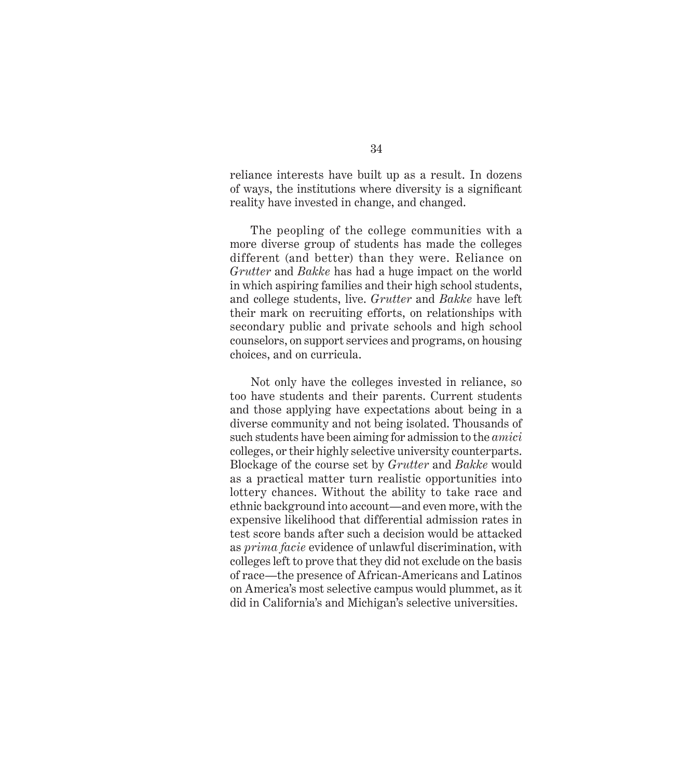reliance interests have built up as a result. In dozens of ways, the institutions where diversity is a significant reality have invested in change, and changed.

The peopling of the college communities with a more diverse group of students has made the colleges different (and better) than they were. Reliance on *Grutter* and *Bakke* has had a huge impact on the world in which aspiring families and their high school students, and college students, live. *Grutter* and *Bakke* have left their mark on recruiting efforts, on relationships with secondary public and private schools and high school counselors, on support services and programs, on housing choices, and on curricula.

Not only have the colleges invested in reliance, so too have students and their parents. Current students and those applying have expectations about being in a diverse community and not being isolated. Thousands of such students have been aiming for admission to the *amici* colleges, or their highly selective university counterparts. Blockage of the course set by *Grutter* and *Bakke* would as a practical matter turn realistic opportunities into lottery chances. Without the ability to take race and ethnic background into account—and even more, with the expensive likelihood that differential admission rates in test score bands after such a decision would be attacked as *prima facie* evidence of unlawful discrimination, with colleges left to prove that they did not exclude on the basis of race—the presence of African-Americans and Latinos on America's most selective campus would plummet, as it did in California's and Michigan's selective universities.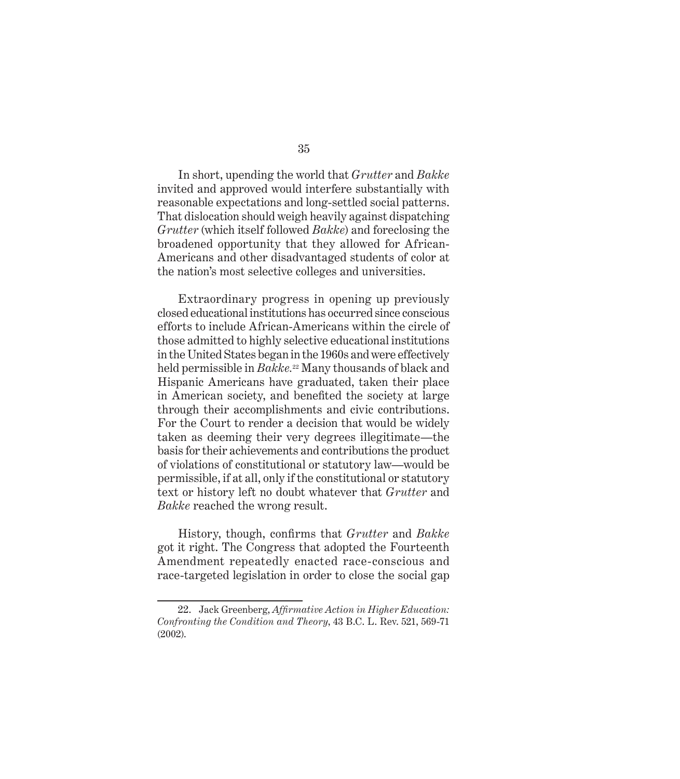In short, upending the world that *Grutter* and *Bakke*  invited and approved would interfere substantially with reasonable expectations and long-settled social patterns. That dislocation should weigh heavily against dispatching *Grutter* (which itself followed *Bakke*) and foreclosing the broadened opportunity that they allowed for African-Americans and other disadvantaged students of color at the nation's most selective colleges and universities.

Extraordinary progress in opening up previously closed educational institutions has occurred since conscious efforts to include African-Americans within the circle of those admitted to highly selective educational institutions in the United States began in the 1960s and were effectively held permissible in *Bakke.*22 Many thousands of black and Hispanic Americans have graduated, taken their place in American society, and benefited the society at large through their accomplishments and civic contributions. For the Court to render a decision that would be widely taken as deeming their very degrees illegitimate—the basis for their achievements and contributions the product of violations of constitutional or statutory law—would be permissible, if at all, only if the constitutional or statutory text or history left no doubt whatever that *Grutter* and *Bakke* reached the wrong result.

History, though, confirms that *Grutter* and *Bakke* got it right. The Congress that adopted the Fourteenth Amendment repeatedly enacted race-conscious and race-targeted legislation in order to close the social gap

<sup>22.</sup> Jack Greenberg, *Affirmative Action in Higher Education*: *Confronting the Condition and Theory*, 43 B.C. L. Rev. 521, 569-71 (2002).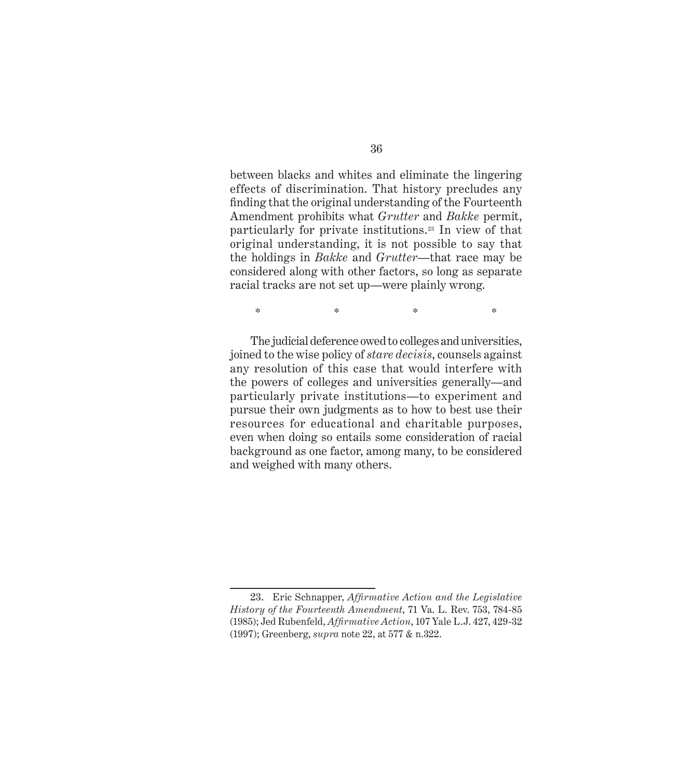between blacks and whites and eliminate the lingering effects of discrimination. That history precludes any finding that the original understanding of the Fourteenth Amendment prohibits what *Grutter* and *Bakke* permit, particularly for private institutions.23 In view of that original understanding, it is not possible to say that the holdings in *Bakke* and *Grutter*—that race may be considered along with other factors, so long as separate racial tracks are not set up—were plainly wrong.

 $\begin{matrix} * & * & * \ * & * & * \end{matrix}$ 

The judicial deference owed to colleges and universities, joined to the wise policy of *stare decisis*, counsels against any resolution of this case that would interfere with the powers of colleges and universities generally—and particularly private institutions—to experiment and pursue their own judgments as to how to best use their resources for educational and charitable purposes, even when doing so entails some consideration of racial background as one factor, among many, to be considered and weighed with many others.

<sup>23.</sup> Eric Schnapper, *Affirmative Action and the Legislative History of the Fourteenth Amendment*, 71 Va. L. Rev. 753, 784-85 (1985); Jed Rubenfeld, *Affi rmative Action*, 107 Yale L.J. 427, 429-32 (1997); Greenberg, *supra* note 22, at 577 & n.322.